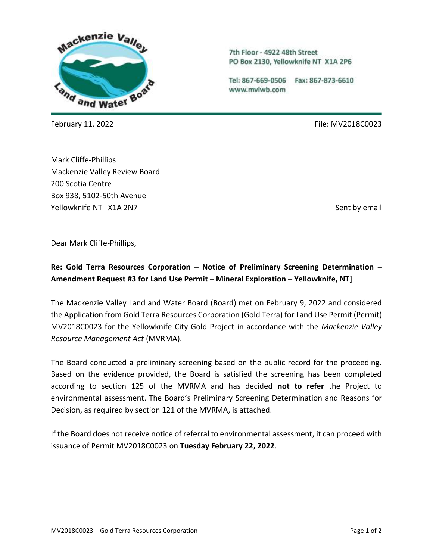

7th Floor - 4922 48th Street PO Box 2130, Yellowknife NT X1A 2P6

Tel: 867-669-0506 Fax: 867-873-6610 www.mvlwb.com

February 11, 2022 **File:** MV2018C0023

Mark Cliffe-Phillips Mackenzie Valley Review Board 200 Scotia Centre Box 938, 5102-50th Avenue Yellowknife NT X1A 2N7 Sent by email and the sent by email sent by email sent by email

Dear Mark Cliffe-Phillips,

## **Re: Gold Terra Resources Corporation – Notice of Preliminary Screening Determination – Amendment Request #3 for Land Use Permit – Mineral Exploration – Yellowknife, NT]**

The Mackenzie Valley Land and Water Board (Board) met on February 9, 2022 and considered the Application from Gold Terra Resources Corporation (Gold Terra) for Land Use Permit (Permit) MV2018C0023 for the Yellowknife City Gold Project in accordance with the *Mackenzie Valley Resource Management Act* (MVRMA).

The Board conducted a preliminary screening based on the public record for the proceeding. Based on the evidence provided, the Board is satisfied the screening has been completed according to section 125 of the MVRMA and has decided **not to refer** the Project to environmental assessment. The Board's Preliminary Screening Determination and Reasons for Decision, as required by section 121 of the MVRMA, is attached.

If the Board does not receive notice of referral to environmental assessment, it can proceed with issuance of Permit MV2018C0023 on **Tuesday February 22, 2022**.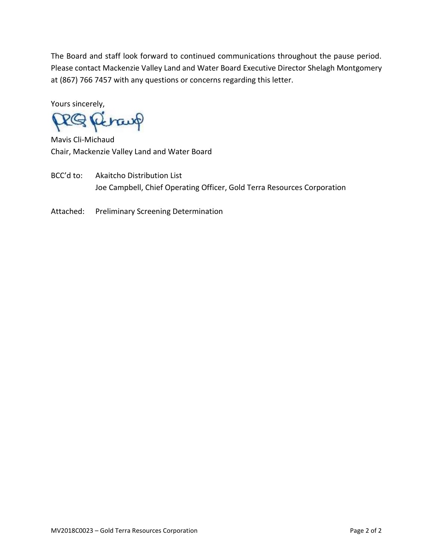The Board and staff look forward to continued communications throughout the pause period. Please contact Mackenzie Valley Land and Water Board Executive Director Shelagh Montgomery at (867) 766 7457 with any questions or concerns regarding this letter.

Yours sincerely,

RQ Retaup

Mavis Cli-Michaud Chair, Mackenzie Valley Land and Water Board

BCC'd to: Akaitcho Distribution List Joe Campbell, Chief Operating Officer, Gold Terra Resources Corporation

Attached: Preliminary Screening Determination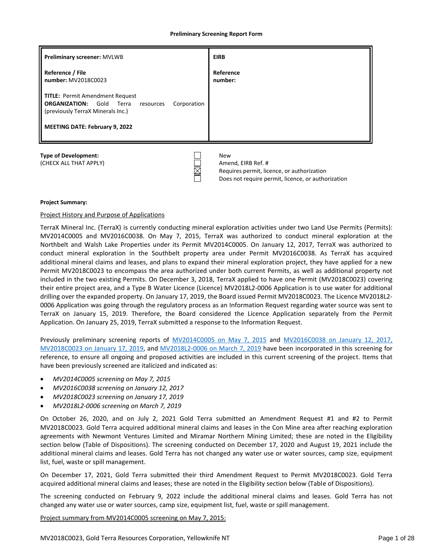#### **Preliminary Screening Report Form**

| <b>Preliminary screener: MVLWB</b>                                                                                                                                                     | <b>EIRB</b>                                                                    |
|----------------------------------------------------------------------------------------------------------------------------------------------------------------------------------------|--------------------------------------------------------------------------------|
| Reference / File<br>number: MV2018C0023                                                                                                                                                | Reference<br>number:                                                           |
| <b>TITLE: Permit Amendment Request</b><br><b>ORGANIZATION: Gold</b><br>Corporation<br>Terra<br>resources<br>(previously TerraX Minerals Inc.)<br><b>MEETING DATE: February 9, 2022</b> |                                                                                |
| <b>Type of Development:</b><br>(CHECK ALL THAT APPLY)                                                                                                                                  | <b>New</b><br>Amend, EIRB Ref. #<br>Requires permit. licence, or authorization |

Ħ

#### **Project Summary:**

#### Project History and Purpose of Applications

TerraX Mineral Inc. (TerraX) is currently conducting mineral exploration activities under two Land Use Permits (Permits): MV2014C0005 and MV2016C0038. On May 7, 2015, TerraX was authorized to conduct mineral exploration at the Northbelt and Walsh Lake Properties under its Permit MV2014C0005. On January 12, 2017, TerraX was authorized to conduct mineral exploration in the Southbelt property area under Permit MV2016C0038. As TerraX has acquired additional mineral claims and leases, and plans to expand their mineral exploration project, they have applied for a new Permit MV2018C0023 to encompass the area authorized under both current Permits, as well as additional property not included in the two existing Permits. On December 3, 2018, TerraX applied to have one Permit (MV2018C0023) covering their entire project area, and a Type B Water Licence (Licence) MV2018L2-0006 Application is to use water for additional drilling over the expanded property. On January 17, 2019, the Board issued Permit MV2018C0023. The Licence MV2018L2- 0006 Application was going through the regulatory process as an Information Request regarding water source was sent to TerraX on January 15, 2019. Therefore, the Board considered the Licence Application separately from the Permit Application. On January 25, 2019, TerraX submitted a response to the Information Request.

Does not require permit, licence, or authorization

Previously preliminary screening reports of [MV2014C0005 on May 7, 2015](http://registry.mvlwb.ca/Documents/MV2014C0005/MV2014C0005%20-%20TerraX%20Minerals%20-%20Preliminary%20Screening%20Report%20-%20Mar7-14.pdf) and [MV2016C0038 on January 12, 2017,](http://registry.mvlwb.ca/Documents/MV2016C0038/MV2016C0038%20-%20TerraX%20Minerals%20%20-%20Issuance%20-%20Preliminary%20Screening%20Report%20-%20Jan12-17.pdf) [MV2018C0023 on](http://registry.mvlwb.ca/Documents/MV2018C0023/MV2018C0023%20-%20TerraX%20Minerls%20Inc%20-%20Preliminary%20Screening%20-%20Type%20A%20Land%20Use%20Permit%20-%20Jan17-19.pdf) January 17, 2019, and [MV2018L2-0006 on March 7, 2019](http://registry.mvlwb.ca/Documents/MV2018C0023/MV2018C0023%20MV2018L2-0006%20-%20TerraX%20Minerals%20Inc%20-%20Issuance%20-%20Preliminary%20Screening%20-%20Mar7-19.pdf) have been incorporated in this screening for reference, to ensure all ongoing and proposed activities are included in this current screening of the project. Items that have been previously screened are italicized and indicated as:

- *MV2014C0005 screening on May 7, 2015*
- *MV2016C0038 screening on January 12, 2017*
- *MV2018C0023 screening on January 17, 2019*
- *MV2018L2-0006 screening on March 7, 2019*

On October 26, 2020, and on July 2, 2021 Gold Terra submitted an Amendment Request #1 and #2 to Permit MV2018C0023. Gold Terra acquired additional mineral claims and leases in the Con Mine area after reaching exploration agreements with Newmont Ventures Limited and Miramar Northern Mining Limited; these are noted in the Eligibility section below (Table of Dispositions). The screening conducted on December 17, 2020 and August 19, 2021 include the additional mineral claims and leases. Gold Terra has not changed any water use or water sources, camp size, equipment list, fuel, waste or spill management.

On December 17, 2021, Gold Terra submitted their third Amendment Request to Permit MV2018C0023. Gold Terra acquired additional mineral claims and leases; these are noted in the Eligibility section below (Table of Dispositions).

The screening conducted on February 9, 2022 include the additional mineral claims and leases. Gold Terra has not changed any water use or water sources, camp size, equipment list, fuel, waste or spill management.

Project summary from MV2014C0005 screening on May 7, 2015: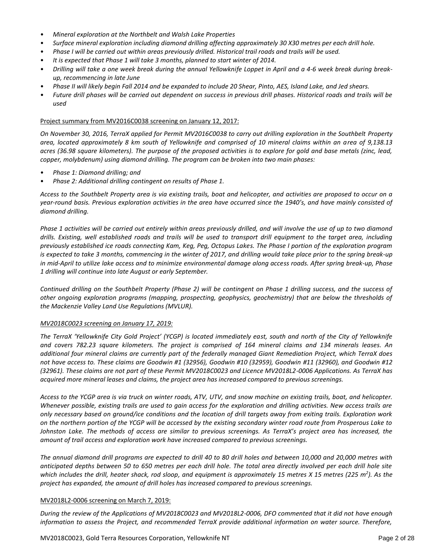- *Mineral exploration at the Northbelt and Walsh Lake Properties*
- *Surface mineral exploration including diamond drilling affecting approximately 30 X30 metres per each drill hole.*
- *Phase I will be carried out within areas previously drilled. Historical trail roads and trails will be used.*
- *It is expected that Phase 1 will take 3 months, planned to start winter of 2014.*
- *Drilling will take a one week break during the annual Yellowknife Loppet in April and a 4-6 week break during breakup, recommencing in late June*
- *Phase II will likely begin Fall 2014 and be expanded to include 20 Shear, Pinto, AES, Island Lake, and Jed shears.*
- *Future drill phases will be carried out dependent on success in previous drill phases. Historical roads and trails will be used*

## Project summary from MV2016C0038 screening on January 12, 2017:

*On November 30, 2016, TerraX applied for Permit MV2016C0038 to carry out drilling exploration in the Southbelt Property area, located approximately 8 km south of Yellowknife and comprised of 10 mineral claims within an area of 9,138.13 acres (36.98 square kilometers). The purpose of the proposed activities is to explore for gold and base metals (zinc, lead, copper, molybdenum) using diamond drilling. The program can be broken into two main phases:*

- *Phase 1: Diamond drilling; and*
- *Phase 2: Additional drilling contingent on results of Phase 1.*

*Access to the Southbelt Property area is via existing trails, boat and helicopter, and activities are proposed to occur on a year-round basis. Previous exploration activities in the area have occurred since the 1940's, and have mainly consisted of diamond drilling.*

*Phase 1 activities will be carried out entirely within areas previously drilled, and will involve the use of up to two diamond drills. Existing, well established roads and trails will be used to transport drill equipment to the target area, including previously established ice roads connecting Kam, Keg, Peg, Octopus Lakes. The Phase I portion of the exploration program is expected to take 3 months, commencing in the winter of 2017, and drilling would take place prior to the spring break-up in mid-April to utilize lake access and to minimize environmental damage along access roads. After spring break-up, Phase 1 drilling will continue into late August or early September.*

*Continued drilling on the Southbelt Property (Phase 2) will be contingent on Phase 1 drilling success, and the success of other ongoing exploration programs (mapping, prospecting, geophysics, geochemistry) that are below the thresholds of the Mackenzie Valley Land Use Regulations (MVLUR).*

#### *MV2018C0023 screening on January 17, 2019:*

*The TerraX 'Yellowknife City Gold Project' (YCGP) is located immediately east, south and north of the City of Yellowknife and covers 782.23 square kilometers. The project is comprised of 164 mineral claims and 134 minerals leases. An additional four mineral claims are currently part of the federally managed Giant Remediation Project, which TerraX does not have access to. These claims are Goodwin #1 (32956), Goodwin #10 (32959), Goodwin #11 (32960), and Goodwin #12 (32961). These claims are not part of these Permit MV2018C0023 and Licence MV2018L2-0006 Applications. As TerraX has acquired more mineral leases and claims, the project area has increased compared to previous screenings.* 

*Access to the YCGP area is via truck on winter roads, ATV, UTV, and snow machine on existing trails, boat, and helicopter. Whenever possible, existing trails are used to gain access for the exploration and drilling activities. New access trails are only necessary based on ground/ice conditions and the location of drill targets away from exiting trails. Exploration work on the northern portion of the YCGP will be accessed by the existing secondary winter road route from Prosperous Lake to Johnston Lake. The methods of access are similar to previous screenings. As TerraX's project area has increased, the amount of trail access and exploration work have increased compared to previous screenings.* 

*The annual diamond drill programs are expected to drill 40 to 80 drill holes and between 10,000 and 20,000 metres with anticipated depths between 50 to 650 metres per each drill hole. The total area directly involved per each drill hole site which includes the drill, heater shack, rod sloop, and equipment is approximately 15 metres X 15 metres (225 m<sup>2</sup> ). As the project has expanded, the amount of drill holes has increased compared to previous screenings.* 

#### MV2018L2-0006 screening on March 7, 2019:

*During the review of the Applications of MV2018C0023 and MV2018L2-0006, DFO commented that it did not have enough information to assess the Project, and recommended TerraX provide additional information on water source. Therefore,*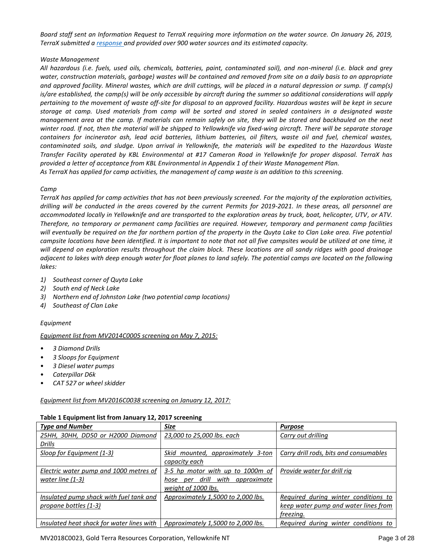*Board staff sent an Information Request to TerraX requiring more information on the water source. On January 26, 2019, TerraX submitted [a response a](http://registry.mvlwb.ca/Documents/MV2018L2-0006/MV2018L2-0006%20-%20TerraX%20Minerals%20-%20Response%20to%20MVLWB%20Information%20Request%20-%20Jan25-19.pdf)nd provided over 900 water sources and its estimated capacity.* 

## *Waste Management*

*All hazardous (i.e. fuels, used oils, chemicals, batteries, paint, contaminated soil), and non-mineral (i.e. black and grey water, construction materials, garbage) wastes will be contained and removed from site on a daily basis to an appropriate and approved facility. Mineral wastes, which are drill cuttings, will be placed in a natural depression or sump. If camp(s) is/are established, the camp(s) will be only accessible by aircraft during the summer so additional considerations will apply pertaining to the movement of waste off-site for disposal to an approved facility. Hazardous wastes will be kept in secure storage at camp. Used materials from camp will be sorted and stored in sealed containers in a designated waste management area at the camp. If materials can remain safely on site, they will be stored and backhauled on the next winter road. If not, then the material will be shipped to Yellowknife via fixed-wing aircraft. There will be separate storage containers for incinerator ash, lead acid batteries, lithium batteries, oil filters, waste oil and fuel, chemical wastes, contaminated soils, and sludge. Upon arrival in Yellowknife, the materials will be expedited to the Hazardous Waste Transfer Facility operated by KBL Environmental at #17 Cameron Road in Yellowknife for proper disposal. TerraX has provided a letter of acceptance from KBL Environmental in Appendix 1 of their Waste Management Plan. As TerraX has applied for camp activities, the management of camp waste is an addition to this screening.* 

## *Camp*

*TerraX has applied for camp activities that has not been previously screened. For the majority of the exploration activities, drilling will be conducted in the areas covered by the current Permits for 2019-2021. In these areas, all personnel are accommodated locally in Yellowknife and are transported to the exploration areas by truck, boat, helicopter, UTV, or ATV. Therefore, no temporary or permanent camp facilities are required. However, temporary and permanent camp facilities will eventually be required on the far northern portion of the property in the Quyta Lake to Clan Lake area. Five potential campsite locations have been identified. It is important to note that not all five campsites would be utilized at one time, it will depend on exploration results throughout the claim block. These locations are all sandy ridges with good drainage adjacent to lakes with deep enough water for float planes to land safely. The potential camps are located on the following lakes:*

- *1) Southeast corner of Quyta Lake*
- *2) South end of Neck Lake*
- *3) Northern end of Johnston Lake (two potential camp locations)*
- *4) Southeast of Clan Lake*

## *Equipment*

## *Equipment list from MV2014C0005 screening on May 7, 2015:*

- *3 Diamond Drills*
- *3 Sloops for Equipment*
- *3 Diesel water pumps*
- *Caterpillar D6k*
- *CAT 527 or wheel skidder*

## *Equipment list from MV2016C0038 screening on January 12, 2017:*

| <b>Type and Number</b>                    | <b>Size</b>                           | <b>Purpose</b>                         |
|-------------------------------------------|---------------------------------------|----------------------------------------|
| 25HH, 30HH, DD50 or H2000 Diamond         | 23,000 to 25,000 lbs. each            | Carry out drilling                     |
| <u>Drills</u>                             |                                       |                                        |
| Sloop for Equipment (1-3)                 | Skid mounted, approximately 3-ton     | Carry drill rods, bits and consumables |
|                                           | capacity each                         |                                        |
| Electric water pump and 1000 metres of    | 3-5 hp motor with up to 1000m of      | Provide water for drill rig            |
| water line $(1-3)$                        | hose per drill<br>with<br>approximate |                                        |
|                                           | weight of 1000 lbs.                   |                                        |
| Insulated pump shack with fuel tank and   | Approximately 1,5000 to 2,000 lbs.    | Required during winter conditions to   |
| propane bottles (1-3)                     |                                       | keep water pump and water lines from   |
|                                           |                                       | freezing.                              |
| Insulated heat shack for water lines with | Approximately 1,5000 to 2,000 lbs.    | Required during winter conditions to   |

## **Table 1 Equipment list from January 12, 2017 screening**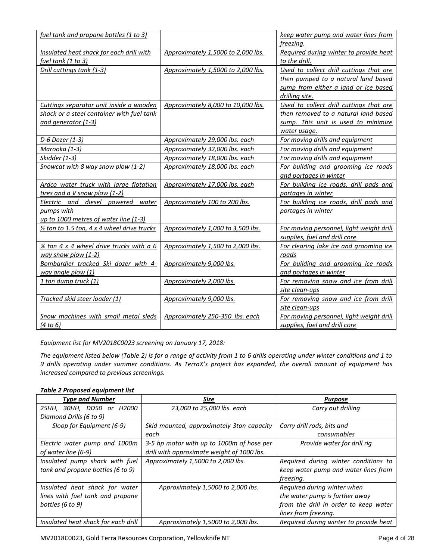| fuel tank and propane bottles (1 to 3)                 |                                    | keep water pump and water lines from     |
|--------------------------------------------------------|------------------------------------|------------------------------------------|
|                                                        |                                    | freezing.                                |
| Insulated heat shack for each drill with               | Approximately 1,5000 to 2,000 lbs. | Required during winter to provide heat   |
| <u>fuel tank (1 to 3)</u>                              |                                    | to the drill.                            |
| Drill cuttings tank (1-3)                              | Approximately 1,5000 to 2,000 lbs. | Used to collect drill cuttings that are  |
|                                                        |                                    | then pumped to a natural land based      |
|                                                        |                                    | sump from either a land or ice based     |
|                                                        |                                    | drilling site.                           |
| Cuttings separator unit inside a wooden                | Approximately 8,000 to 10,000 lbs. | Used to collect drill cuttings that are  |
| shack or a steel container with fuel tank              |                                    | then removed to a natural land based     |
| and generator $(1-3)$                                  |                                    | sump. This unit is used to minimize      |
|                                                        |                                    | water usage.                             |
| D-6 Dozer (1-3)                                        | Approximately 29,000 lbs. each     | For moving drills and equipment          |
| Marooka (1-3)                                          | Approximately 32,000 lbs. each     | For moving drills and equipment          |
| Skidder (1-3)                                          | Approximately 18,000 lbs. each     | For moving drills and equipment          |
| Snowcat with 8 way snow plow (1-2)                     | Approximately 18,000 lbs. each     | For building and grooming ice roads      |
|                                                        |                                    | and portages in winter                   |
| Ardco water truck with large flotation                 | Approximately 17,000 lbs. each     | For building ice roads, drill pads and   |
| tires and a V snow plow $(1-2)$                        |                                    | portages in winter                       |
| Electric and diesel powered<br>water                   | Approximately 100 to 200 lbs.      | For building ice roads, drill pads and   |
| pumps with                                             |                                    | portages in winter                       |
| up to 1000 metres of water line (1-3)                  |                                    |                                          |
| $\frac{1}{2}$ ton to 1.5 ton, 4 x 4 wheel drive trucks | Approximately 1,000 to 3,500 lbs.  | For moving personnel, light weight drill |
|                                                        |                                    | supplies, fuel and drill core            |
| $\frac{3}{4}$ ton 4 x 4 wheel drive trucks with a 6    | Approximately 1,500 to 2,000 lbs.  | For clearing lake ice and grooming ice   |
| way snow plow $(1-2)$                                  |                                    | roads                                    |
| Bombardier tracked Ski dozer with 4-                   | Approximately 9,000 lbs.           | For building and grooming ice roads      |
| way angle plow (1)                                     |                                    | and portages in winter                   |
| <u>1 ton dump truck (1)</u>                            | Approximately 2,000 lbs.           | For removing snow and ice from drill     |
|                                                        |                                    | site clean-ups                           |
| Tracked skid steer loader (1)                          | Approximately 9,000 lbs.           | For removing snow and ice from drill     |
|                                                        |                                    | site clean-ups                           |
| Snow machines with small metal sleds                   | Approximately 250-350 lbs. each    | For moving personnel, light weight drill |
| <u>(4 to 6)</u>                                        |                                    | supplies, fuel and drill core            |

## *Equipment list for MV2018C0023 screening on January 17, 2018:*

*The equipment listed below (Table 2) is for a range of activity from 1 to 6 drills operating under winter conditions and 1 to 9 drills operating under summer conditions. As TerraX's project has expanded, the overall amount of equipment has increased compared to previous screenings.* 

#### *Table 2 Proposed equipment list*

| <b>Type and Number</b>              | Size                                       | Purpose                                |
|-------------------------------------|--------------------------------------------|----------------------------------------|
| 30HH, DD50 or<br>H2000<br>25HH,     | 23,000 to 25,000 lbs. each                 | Carry out drilling                     |
| Diamond Drills (6 to 9)             |                                            |                                        |
| Sloop for Equipment (6-9)           | Skid mounted, approximately 3ton capacity  | Carry drill rods, bits and             |
|                                     | each                                       | consumables                            |
| Electric water pump and 1000m       | 3-5 hp motor with up to 1000m of hose per  | Provide water for drill rig            |
| of water line (6-9)                 | drill with approximate weight of 1000 lbs. |                                        |
| Insulated pump shack with fuel      | Approximately 1,5000 to 2,000 lbs.         | Required during winter conditions to   |
| tank and propane bottles (6 to 9)   |                                            | keep water pump and water lines from   |
|                                     |                                            | freezing.                              |
| Insulated heat shack for water      | Approximately 1,5000 to 2,000 lbs.         | Required during winter when            |
| lines with fuel tank and propane    |                                            | the water pump is further away         |
| bottles (6 to 9)                    |                                            | from the drill in order to keep water  |
|                                     |                                            | lines from freezing.                   |
| Insulated heat shack for each drill | Approximately 1,5000 to 2,000 lbs.         | Required during winter to provide heat |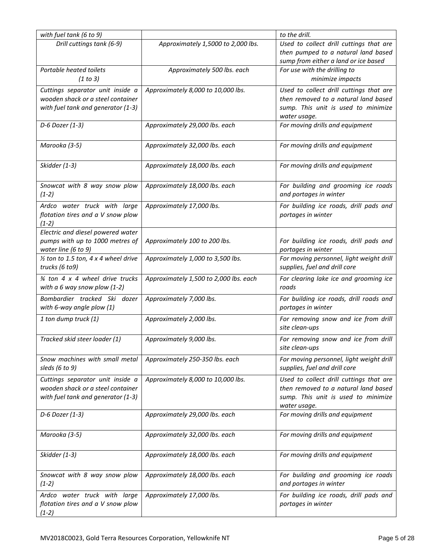| Drill cuttings tank (6-9)<br>Used to collect drill cuttings that are<br>Approximately 1,5000 to 2,000 lbs.<br>then pumped to a natural land based<br>sump from either a land or ice based<br>Portable heated toilets<br>For use with the drilling to<br>Approximately 500 lbs. each<br>(1 to 3)<br>minimize impacts<br>Used to collect drill cuttings that are<br>Cuttings separator unit inside a<br>Approximately 8,000 to 10,000 lbs.<br>wooden shack or a steel container<br>then removed to a natural land based<br>with fuel tank and generator (1-3)<br>sump. This unit is used to minimize<br>water usage.<br>D-6 Dozer (1-3)<br>Approximately 29,000 lbs. each<br>For moving drills and equipment<br>Marooka (3-5)<br>Approximately 32,000 lbs. each<br>For moving drills and equipment<br>Skidder (1-3)<br>Approximately 18,000 lbs. each<br>For moving drills and equipment<br>Snowcat with 8 way snow plow<br>Approximately 18,000 lbs. each<br>For building and grooming ice roads<br>and portages in winter<br>$(1-2)$<br>Ardco water truck with large<br>For building ice roads, drill pads and<br>Approximately 17,000 lbs.<br>flotation tires and a V snow plow<br>portages in winter<br>$(1-2)$<br>Electric and diesel powered water<br>pumps with up to 1000 metres of<br>Approximately 100 to 200 lbs.<br>For building ice roads, drill pads and<br>water line (6 to 9)<br>portages in winter<br>$\frac{1}{2}$ ton to 1.5 ton, 4 x 4 wheel drive<br>Approximately 1,000 to 3,500 lbs.<br>For moving personnel, light weight drill<br>trucks (6 to9)<br>supplies, fuel and drill core<br>3⁄4 ton 4 x 4 wheel drive trucks<br>Approximately 1,500 to 2,000 lbs. each<br>For clearing lake ice and grooming ice<br>with a 6 way snow plow $(1-2)$<br>roads<br>Bombardier tracked Ski dozer<br>For building ice roads, drill roads and<br>Approximately 7,000 lbs.<br>with 6-way angle plow (1)<br>portages in winter<br>1 ton dump truck (1)<br>Approximately 2,000 lbs.<br>For removing snow and ice from drill<br>site clean-ups<br>Tracked skid steer loader (1)<br>Approximately 9,000 lbs.<br>For removing snow and ice from drill<br>site clean-ups<br>Snow machines with small metal<br>Approximately 250-350 lbs. each<br>For moving personnel, light weight drill<br>supplies, fuel and drill core<br>sleds (6 to 9)<br>Used to collect drill cuttings that are<br>Cuttings separator unit inside a<br>Approximately 8,000 to 10,000 lbs.<br>wooden shack or a steel container<br>then removed to a natural land based<br>with fuel tank and generator (1-3)<br>sump. This unit is used to minimize<br>water usage.<br>D-6 Dozer (1-3)<br>Approximately 29,000 lbs. each<br>For moving drills and equipment<br>Marooka (3-5)<br>Approximately 32,000 lbs. each<br>For moving drills and equipment<br>Skidder (1-3)<br>Approximately 18,000 lbs. each<br>For moving drills and equipment<br>For building and grooming ice roads<br>Snowcat with 8 way snow plow<br>Approximately 18,000 lbs. each<br>and portages in winter<br>$(1-2)$<br>Ardco water truck with large<br>Approximately 17,000 lbs.<br>For building ice roads, drill pads and<br>flotation tires and a V snow plow<br>portages in winter<br>$(1-2)$ | with fuel tank (6 to 9) | to the drill. |
|----------------------------------------------------------------------------------------------------------------------------------------------------------------------------------------------------------------------------------------------------------------------------------------------------------------------------------------------------------------------------------------------------------------------------------------------------------------------------------------------------------------------------------------------------------------------------------------------------------------------------------------------------------------------------------------------------------------------------------------------------------------------------------------------------------------------------------------------------------------------------------------------------------------------------------------------------------------------------------------------------------------------------------------------------------------------------------------------------------------------------------------------------------------------------------------------------------------------------------------------------------------------------------------------------------------------------------------------------------------------------------------------------------------------------------------------------------------------------------------------------------------------------------------------------------------------------------------------------------------------------------------------------------------------------------------------------------------------------------------------------------------------------------------------------------------------------------------------------------------------------------------------------------------------------------------------------------------------------------------------------------------------------------------------------------------------------------------------------------------------------------------------------------------------------------------------------------------------------------------------------------------------------------------------------------------------------------------------------------------------------------------------------------------------------------------------------------------------------------------------------------------------------------------------------------------------------------------------------------------------------------------------------------------------------------------------------------------------------------------------------------------------------------------------------------------------------------------------------------------------------------------------------------------------------------------------------------------------------------------------------------------------------------------------------------------------------------------------------------------------------------------------------------------------------------------------------------------------------------------------|-------------------------|---------------|
|                                                                                                                                                                                                                                                                                                                                                                                                                                                                                                                                                                                                                                                                                                                                                                                                                                                                                                                                                                                                                                                                                                                                                                                                                                                                                                                                                                                                                                                                                                                                                                                                                                                                                                                                                                                                                                                                                                                                                                                                                                                                                                                                                                                                                                                                                                                                                                                                                                                                                                                                                                                                                                                                                                                                                                                                                                                                                                                                                                                                                                                                                                                                                                                                                                              |                         |               |
|                                                                                                                                                                                                                                                                                                                                                                                                                                                                                                                                                                                                                                                                                                                                                                                                                                                                                                                                                                                                                                                                                                                                                                                                                                                                                                                                                                                                                                                                                                                                                                                                                                                                                                                                                                                                                                                                                                                                                                                                                                                                                                                                                                                                                                                                                                                                                                                                                                                                                                                                                                                                                                                                                                                                                                                                                                                                                                                                                                                                                                                                                                                                                                                                                                              |                         |               |
|                                                                                                                                                                                                                                                                                                                                                                                                                                                                                                                                                                                                                                                                                                                                                                                                                                                                                                                                                                                                                                                                                                                                                                                                                                                                                                                                                                                                                                                                                                                                                                                                                                                                                                                                                                                                                                                                                                                                                                                                                                                                                                                                                                                                                                                                                                                                                                                                                                                                                                                                                                                                                                                                                                                                                                                                                                                                                                                                                                                                                                                                                                                                                                                                                                              |                         |               |
|                                                                                                                                                                                                                                                                                                                                                                                                                                                                                                                                                                                                                                                                                                                                                                                                                                                                                                                                                                                                                                                                                                                                                                                                                                                                                                                                                                                                                                                                                                                                                                                                                                                                                                                                                                                                                                                                                                                                                                                                                                                                                                                                                                                                                                                                                                                                                                                                                                                                                                                                                                                                                                                                                                                                                                                                                                                                                                                                                                                                                                                                                                                                                                                                                                              |                         |               |
|                                                                                                                                                                                                                                                                                                                                                                                                                                                                                                                                                                                                                                                                                                                                                                                                                                                                                                                                                                                                                                                                                                                                                                                                                                                                                                                                                                                                                                                                                                                                                                                                                                                                                                                                                                                                                                                                                                                                                                                                                                                                                                                                                                                                                                                                                                                                                                                                                                                                                                                                                                                                                                                                                                                                                                                                                                                                                                                                                                                                                                                                                                                                                                                                                                              |                         |               |
|                                                                                                                                                                                                                                                                                                                                                                                                                                                                                                                                                                                                                                                                                                                                                                                                                                                                                                                                                                                                                                                                                                                                                                                                                                                                                                                                                                                                                                                                                                                                                                                                                                                                                                                                                                                                                                                                                                                                                                                                                                                                                                                                                                                                                                                                                                                                                                                                                                                                                                                                                                                                                                                                                                                                                                                                                                                                                                                                                                                                                                                                                                                                                                                                                                              |                         |               |
|                                                                                                                                                                                                                                                                                                                                                                                                                                                                                                                                                                                                                                                                                                                                                                                                                                                                                                                                                                                                                                                                                                                                                                                                                                                                                                                                                                                                                                                                                                                                                                                                                                                                                                                                                                                                                                                                                                                                                                                                                                                                                                                                                                                                                                                                                                                                                                                                                                                                                                                                                                                                                                                                                                                                                                                                                                                                                                                                                                                                                                                                                                                                                                                                                                              |                         |               |
|                                                                                                                                                                                                                                                                                                                                                                                                                                                                                                                                                                                                                                                                                                                                                                                                                                                                                                                                                                                                                                                                                                                                                                                                                                                                                                                                                                                                                                                                                                                                                                                                                                                                                                                                                                                                                                                                                                                                                                                                                                                                                                                                                                                                                                                                                                                                                                                                                                                                                                                                                                                                                                                                                                                                                                                                                                                                                                                                                                                                                                                                                                                                                                                                                                              |                         |               |
|                                                                                                                                                                                                                                                                                                                                                                                                                                                                                                                                                                                                                                                                                                                                                                                                                                                                                                                                                                                                                                                                                                                                                                                                                                                                                                                                                                                                                                                                                                                                                                                                                                                                                                                                                                                                                                                                                                                                                                                                                                                                                                                                                                                                                                                                                                                                                                                                                                                                                                                                                                                                                                                                                                                                                                                                                                                                                                                                                                                                                                                                                                                                                                                                                                              |                         |               |
|                                                                                                                                                                                                                                                                                                                                                                                                                                                                                                                                                                                                                                                                                                                                                                                                                                                                                                                                                                                                                                                                                                                                                                                                                                                                                                                                                                                                                                                                                                                                                                                                                                                                                                                                                                                                                                                                                                                                                                                                                                                                                                                                                                                                                                                                                                                                                                                                                                                                                                                                                                                                                                                                                                                                                                                                                                                                                                                                                                                                                                                                                                                                                                                                                                              |                         |               |
|                                                                                                                                                                                                                                                                                                                                                                                                                                                                                                                                                                                                                                                                                                                                                                                                                                                                                                                                                                                                                                                                                                                                                                                                                                                                                                                                                                                                                                                                                                                                                                                                                                                                                                                                                                                                                                                                                                                                                                                                                                                                                                                                                                                                                                                                                                                                                                                                                                                                                                                                                                                                                                                                                                                                                                                                                                                                                                                                                                                                                                                                                                                                                                                                                                              |                         |               |
|                                                                                                                                                                                                                                                                                                                                                                                                                                                                                                                                                                                                                                                                                                                                                                                                                                                                                                                                                                                                                                                                                                                                                                                                                                                                                                                                                                                                                                                                                                                                                                                                                                                                                                                                                                                                                                                                                                                                                                                                                                                                                                                                                                                                                                                                                                                                                                                                                                                                                                                                                                                                                                                                                                                                                                                                                                                                                                                                                                                                                                                                                                                                                                                                                                              |                         |               |
|                                                                                                                                                                                                                                                                                                                                                                                                                                                                                                                                                                                                                                                                                                                                                                                                                                                                                                                                                                                                                                                                                                                                                                                                                                                                                                                                                                                                                                                                                                                                                                                                                                                                                                                                                                                                                                                                                                                                                                                                                                                                                                                                                                                                                                                                                                                                                                                                                                                                                                                                                                                                                                                                                                                                                                                                                                                                                                                                                                                                                                                                                                                                                                                                                                              |                         |               |
|                                                                                                                                                                                                                                                                                                                                                                                                                                                                                                                                                                                                                                                                                                                                                                                                                                                                                                                                                                                                                                                                                                                                                                                                                                                                                                                                                                                                                                                                                                                                                                                                                                                                                                                                                                                                                                                                                                                                                                                                                                                                                                                                                                                                                                                                                                                                                                                                                                                                                                                                                                                                                                                                                                                                                                                                                                                                                                                                                                                                                                                                                                                                                                                                                                              |                         |               |
|                                                                                                                                                                                                                                                                                                                                                                                                                                                                                                                                                                                                                                                                                                                                                                                                                                                                                                                                                                                                                                                                                                                                                                                                                                                                                                                                                                                                                                                                                                                                                                                                                                                                                                                                                                                                                                                                                                                                                                                                                                                                                                                                                                                                                                                                                                                                                                                                                                                                                                                                                                                                                                                                                                                                                                                                                                                                                                                                                                                                                                                                                                                                                                                                                                              |                         |               |
|                                                                                                                                                                                                                                                                                                                                                                                                                                                                                                                                                                                                                                                                                                                                                                                                                                                                                                                                                                                                                                                                                                                                                                                                                                                                                                                                                                                                                                                                                                                                                                                                                                                                                                                                                                                                                                                                                                                                                                                                                                                                                                                                                                                                                                                                                                                                                                                                                                                                                                                                                                                                                                                                                                                                                                                                                                                                                                                                                                                                                                                                                                                                                                                                                                              |                         |               |
|                                                                                                                                                                                                                                                                                                                                                                                                                                                                                                                                                                                                                                                                                                                                                                                                                                                                                                                                                                                                                                                                                                                                                                                                                                                                                                                                                                                                                                                                                                                                                                                                                                                                                                                                                                                                                                                                                                                                                                                                                                                                                                                                                                                                                                                                                                                                                                                                                                                                                                                                                                                                                                                                                                                                                                                                                                                                                                                                                                                                                                                                                                                                                                                                                                              |                         |               |
|                                                                                                                                                                                                                                                                                                                                                                                                                                                                                                                                                                                                                                                                                                                                                                                                                                                                                                                                                                                                                                                                                                                                                                                                                                                                                                                                                                                                                                                                                                                                                                                                                                                                                                                                                                                                                                                                                                                                                                                                                                                                                                                                                                                                                                                                                                                                                                                                                                                                                                                                                                                                                                                                                                                                                                                                                                                                                                                                                                                                                                                                                                                                                                                                                                              |                         |               |
|                                                                                                                                                                                                                                                                                                                                                                                                                                                                                                                                                                                                                                                                                                                                                                                                                                                                                                                                                                                                                                                                                                                                                                                                                                                                                                                                                                                                                                                                                                                                                                                                                                                                                                                                                                                                                                                                                                                                                                                                                                                                                                                                                                                                                                                                                                                                                                                                                                                                                                                                                                                                                                                                                                                                                                                                                                                                                                                                                                                                                                                                                                                                                                                                                                              |                         |               |
|                                                                                                                                                                                                                                                                                                                                                                                                                                                                                                                                                                                                                                                                                                                                                                                                                                                                                                                                                                                                                                                                                                                                                                                                                                                                                                                                                                                                                                                                                                                                                                                                                                                                                                                                                                                                                                                                                                                                                                                                                                                                                                                                                                                                                                                                                                                                                                                                                                                                                                                                                                                                                                                                                                                                                                                                                                                                                                                                                                                                                                                                                                                                                                                                                                              |                         |               |
|                                                                                                                                                                                                                                                                                                                                                                                                                                                                                                                                                                                                                                                                                                                                                                                                                                                                                                                                                                                                                                                                                                                                                                                                                                                                                                                                                                                                                                                                                                                                                                                                                                                                                                                                                                                                                                                                                                                                                                                                                                                                                                                                                                                                                                                                                                                                                                                                                                                                                                                                                                                                                                                                                                                                                                                                                                                                                                                                                                                                                                                                                                                                                                                                                                              |                         |               |
|                                                                                                                                                                                                                                                                                                                                                                                                                                                                                                                                                                                                                                                                                                                                                                                                                                                                                                                                                                                                                                                                                                                                                                                                                                                                                                                                                                                                                                                                                                                                                                                                                                                                                                                                                                                                                                                                                                                                                                                                                                                                                                                                                                                                                                                                                                                                                                                                                                                                                                                                                                                                                                                                                                                                                                                                                                                                                                                                                                                                                                                                                                                                                                                                                                              |                         |               |
|                                                                                                                                                                                                                                                                                                                                                                                                                                                                                                                                                                                                                                                                                                                                                                                                                                                                                                                                                                                                                                                                                                                                                                                                                                                                                                                                                                                                                                                                                                                                                                                                                                                                                                                                                                                                                                                                                                                                                                                                                                                                                                                                                                                                                                                                                                                                                                                                                                                                                                                                                                                                                                                                                                                                                                                                                                                                                                                                                                                                                                                                                                                                                                                                                                              |                         |               |
|                                                                                                                                                                                                                                                                                                                                                                                                                                                                                                                                                                                                                                                                                                                                                                                                                                                                                                                                                                                                                                                                                                                                                                                                                                                                                                                                                                                                                                                                                                                                                                                                                                                                                                                                                                                                                                                                                                                                                                                                                                                                                                                                                                                                                                                                                                                                                                                                                                                                                                                                                                                                                                                                                                                                                                                                                                                                                                                                                                                                                                                                                                                                                                                                                                              |                         |               |
|                                                                                                                                                                                                                                                                                                                                                                                                                                                                                                                                                                                                                                                                                                                                                                                                                                                                                                                                                                                                                                                                                                                                                                                                                                                                                                                                                                                                                                                                                                                                                                                                                                                                                                                                                                                                                                                                                                                                                                                                                                                                                                                                                                                                                                                                                                                                                                                                                                                                                                                                                                                                                                                                                                                                                                                                                                                                                                                                                                                                                                                                                                                                                                                                                                              |                         |               |
|                                                                                                                                                                                                                                                                                                                                                                                                                                                                                                                                                                                                                                                                                                                                                                                                                                                                                                                                                                                                                                                                                                                                                                                                                                                                                                                                                                                                                                                                                                                                                                                                                                                                                                                                                                                                                                                                                                                                                                                                                                                                                                                                                                                                                                                                                                                                                                                                                                                                                                                                                                                                                                                                                                                                                                                                                                                                                                                                                                                                                                                                                                                                                                                                                                              |                         |               |
|                                                                                                                                                                                                                                                                                                                                                                                                                                                                                                                                                                                                                                                                                                                                                                                                                                                                                                                                                                                                                                                                                                                                                                                                                                                                                                                                                                                                                                                                                                                                                                                                                                                                                                                                                                                                                                                                                                                                                                                                                                                                                                                                                                                                                                                                                                                                                                                                                                                                                                                                                                                                                                                                                                                                                                                                                                                                                                                                                                                                                                                                                                                                                                                                                                              |                         |               |
|                                                                                                                                                                                                                                                                                                                                                                                                                                                                                                                                                                                                                                                                                                                                                                                                                                                                                                                                                                                                                                                                                                                                                                                                                                                                                                                                                                                                                                                                                                                                                                                                                                                                                                                                                                                                                                                                                                                                                                                                                                                                                                                                                                                                                                                                                                                                                                                                                                                                                                                                                                                                                                                                                                                                                                                                                                                                                                                                                                                                                                                                                                                                                                                                                                              |                         |               |
|                                                                                                                                                                                                                                                                                                                                                                                                                                                                                                                                                                                                                                                                                                                                                                                                                                                                                                                                                                                                                                                                                                                                                                                                                                                                                                                                                                                                                                                                                                                                                                                                                                                                                                                                                                                                                                                                                                                                                                                                                                                                                                                                                                                                                                                                                                                                                                                                                                                                                                                                                                                                                                                                                                                                                                                                                                                                                                                                                                                                                                                                                                                                                                                                                                              |                         |               |
|                                                                                                                                                                                                                                                                                                                                                                                                                                                                                                                                                                                                                                                                                                                                                                                                                                                                                                                                                                                                                                                                                                                                                                                                                                                                                                                                                                                                                                                                                                                                                                                                                                                                                                                                                                                                                                                                                                                                                                                                                                                                                                                                                                                                                                                                                                                                                                                                                                                                                                                                                                                                                                                                                                                                                                                                                                                                                                                                                                                                                                                                                                                                                                                                                                              |                         |               |
|                                                                                                                                                                                                                                                                                                                                                                                                                                                                                                                                                                                                                                                                                                                                                                                                                                                                                                                                                                                                                                                                                                                                                                                                                                                                                                                                                                                                                                                                                                                                                                                                                                                                                                                                                                                                                                                                                                                                                                                                                                                                                                                                                                                                                                                                                                                                                                                                                                                                                                                                                                                                                                                                                                                                                                                                                                                                                                                                                                                                                                                                                                                                                                                                                                              |                         |               |
|                                                                                                                                                                                                                                                                                                                                                                                                                                                                                                                                                                                                                                                                                                                                                                                                                                                                                                                                                                                                                                                                                                                                                                                                                                                                                                                                                                                                                                                                                                                                                                                                                                                                                                                                                                                                                                                                                                                                                                                                                                                                                                                                                                                                                                                                                                                                                                                                                                                                                                                                                                                                                                                                                                                                                                                                                                                                                                                                                                                                                                                                                                                                                                                                                                              |                         |               |
|                                                                                                                                                                                                                                                                                                                                                                                                                                                                                                                                                                                                                                                                                                                                                                                                                                                                                                                                                                                                                                                                                                                                                                                                                                                                                                                                                                                                                                                                                                                                                                                                                                                                                                                                                                                                                                                                                                                                                                                                                                                                                                                                                                                                                                                                                                                                                                                                                                                                                                                                                                                                                                                                                                                                                                                                                                                                                                                                                                                                                                                                                                                                                                                                                                              |                         |               |
|                                                                                                                                                                                                                                                                                                                                                                                                                                                                                                                                                                                                                                                                                                                                                                                                                                                                                                                                                                                                                                                                                                                                                                                                                                                                                                                                                                                                                                                                                                                                                                                                                                                                                                                                                                                                                                                                                                                                                                                                                                                                                                                                                                                                                                                                                                                                                                                                                                                                                                                                                                                                                                                                                                                                                                                                                                                                                                                                                                                                                                                                                                                                                                                                                                              |                         |               |
|                                                                                                                                                                                                                                                                                                                                                                                                                                                                                                                                                                                                                                                                                                                                                                                                                                                                                                                                                                                                                                                                                                                                                                                                                                                                                                                                                                                                                                                                                                                                                                                                                                                                                                                                                                                                                                                                                                                                                                                                                                                                                                                                                                                                                                                                                                                                                                                                                                                                                                                                                                                                                                                                                                                                                                                                                                                                                                                                                                                                                                                                                                                                                                                                                                              |                         |               |
|                                                                                                                                                                                                                                                                                                                                                                                                                                                                                                                                                                                                                                                                                                                                                                                                                                                                                                                                                                                                                                                                                                                                                                                                                                                                                                                                                                                                                                                                                                                                                                                                                                                                                                                                                                                                                                                                                                                                                                                                                                                                                                                                                                                                                                                                                                                                                                                                                                                                                                                                                                                                                                                                                                                                                                                                                                                                                                                                                                                                                                                                                                                                                                                                                                              |                         |               |
|                                                                                                                                                                                                                                                                                                                                                                                                                                                                                                                                                                                                                                                                                                                                                                                                                                                                                                                                                                                                                                                                                                                                                                                                                                                                                                                                                                                                                                                                                                                                                                                                                                                                                                                                                                                                                                                                                                                                                                                                                                                                                                                                                                                                                                                                                                                                                                                                                                                                                                                                                                                                                                                                                                                                                                                                                                                                                                                                                                                                                                                                                                                                                                                                                                              |                         |               |
|                                                                                                                                                                                                                                                                                                                                                                                                                                                                                                                                                                                                                                                                                                                                                                                                                                                                                                                                                                                                                                                                                                                                                                                                                                                                                                                                                                                                                                                                                                                                                                                                                                                                                                                                                                                                                                                                                                                                                                                                                                                                                                                                                                                                                                                                                                                                                                                                                                                                                                                                                                                                                                                                                                                                                                                                                                                                                                                                                                                                                                                                                                                                                                                                                                              |                         |               |
|                                                                                                                                                                                                                                                                                                                                                                                                                                                                                                                                                                                                                                                                                                                                                                                                                                                                                                                                                                                                                                                                                                                                                                                                                                                                                                                                                                                                                                                                                                                                                                                                                                                                                                                                                                                                                                                                                                                                                                                                                                                                                                                                                                                                                                                                                                                                                                                                                                                                                                                                                                                                                                                                                                                                                                                                                                                                                                                                                                                                                                                                                                                                                                                                                                              |                         |               |
|                                                                                                                                                                                                                                                                                                                                                                                                                                                                                                                                                                                                                                                                                                                                                                                                                                                                                                                                                                                                                                                                                                                                                                                                                                                                                                                                                                                                                                                                                                                                                                                                                                                                                                                                                                                                                                                                                                                                                                                                                                                                                                                                                                                                                                                                                                                                                                                                                                                                                                                                                                                                                                                                                                                                                                                                                                                                                                                                                                                                                                                                                                                                                                                                                                              |                         |               |
|                                                                                                                                                                                                                                                                                                                                                                                                                                                                                                                                                                                                                                                                                                                                                                                                                                                                                                                                                                                                                                                                                                                                                                                                                                                                                                                                                                                                                                                                                                                                                                                                                                                                                                                                                                                                                                                                                                                                                                                                                                                                                                                                                                                                                                                                                                                                                                                                                                                                                                                                                                                                                                                                                                                                                                                                                                                                                                                                                                                                                                                                                                                                                                                                                                              |                         |               |
|                                                                                                                                                                                                                                                                                                                                                                                                                                                                                                                                                                                                                                                                                                                                                                                                                                                                                                                                                                                                                                                                                                                                                                                                                                                                                                                                                                                                                                                                                                                                                                                                                                                                                                                                                                                                                                                                                                                                                                                                                                                                                                                                                                                                                                                                                                                                                                                                                                                                                                                                                                                                                                                                                                                                                                                                                                                                                                                                                                                                                                                                                                                                                                                                                                              |                         |               |
|                                                                                                                                                                                                                                                                                                                                                                                                                                                                                                                                                                                                                                                                                                                                                                                                                                                                                                                                                                                                                                                                                                                                                                                                                                                                                                                                                                                                                                                                                                                                                                                                                                                                                                                                                                                                                                                                                                                                                                                                                                                                                                                                                                                                                                                                                                                                                                                                                                                                                                                                                                                                                                                                                                                                                                                                                                                                                                                                                                                                                                                                                                                                                                                                                                              |                         |               |
|                                                                                                                                                                                                                                                                                                                                                                                                                                                                                                                                                                                                                                                                                                                                                                                                                                                                                                                                                                                                                                                                                                                                                                                                                                                                                                                                                                                                                                                                                                                                                                                                                                                                                                                                                                                                                                                                                                                                                                                                                                                                                                                                                                                                                                                                                                                                                                                                                                                                                                                                                                                                                                                                                                                                                                                                                                                                                                                                                                                                                                                                                                                                                                                                                                              |                         |               |
|                                                                                                                                                                                                                                                                                                                                                                                                                                                                                                                                                                                                                                                                                                                                                                                                                                                                                                                                                                                                                                                                                                                                                                                                                                                                                                                                                                                                                                                                                                                                                                                                                                                                                                                                                                                                                                                                                                                                                                                                                                                                                                                                                                                                                                                                                                                                                                                                                                                                                                                                                                                                                                                                                                                                                                                                                                                                                                                                                                                                                                                                                                                                                                                                                                              |                         |               |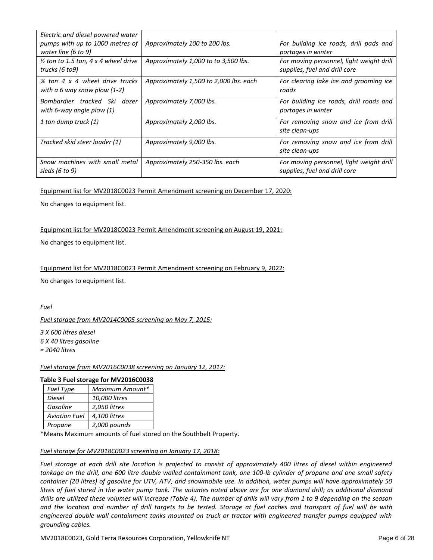| Electric and diesel powered water<br>pumps with up to 1000 metres of<br>water line (6 to 9) | Approximately 100 to 200 lbs.          | For building ice roads, drill pads and<br>portages in winter              |
|---------------------------------------------------------------------------------------------|----------------------------------------|---------------------------------------------------------------------------|
| $\frac{1}{2}$ ton to 1.5 ton, 4 x 4 wheel drive<br>trucks (6 to9)                           | Approximately 1,000 to to 3,500 lbs.   | For moving personnel, light weight drill<br>supplies, fuel and drill core |
| $\frac{3}{4}$ ton 4 x 4 wheel drive trucks<br>with a 6 way snow plow $(1-2)$                | Approximately 1,500 to 2,000 lbs. each | For clearing lake ice and grooming ice<br>roads                           |
| Bombardier tracked Ski dozer<br>with 6-way angle plow $(1)$                                 | Approximately 7,000 lbs.               | For building ice roads, drill roads and<br>portages in winter             |
| 1 ton dump truck (1)                                                                        | Approximately 2,000 lbs.               | For removing snow and ice from drill<br>site clean-ups                    |
| Tracked skid steer loader (1)                                                               | Approximately 9,000 lbs.               | For removing snow and ice from drill<br>site clean-ups                    |
| Snow machines with small metal<br>sleds (6 to 9)                                            | Approximately 250-350 lbs. each        | For moving personnel, light weight drill<br>supplies, fuel and drill core |

## Equipment list for MV2018C0023 Permit Amendment screening on December 17, 2020:

No changes to equipment list.

## Equipment list for MV2018C0023 Permit Amendment screening on August 19, 2021:

No changes to equipment list.

## Equipment list for MV2018C0023 Permit Amendment screening on February 9, 2022:

No changes to equipment list.

*Fuel*

## *Fuel storage from MV2014C0005 screening on May 7, 2015:*

*3 X 600 litres diesel 6 X 40 litres gasoline = 2040 litres*

## *Fuel storage from MV2016C0038 screening on January 12, 2017:*

## **Table 3 Fuel storage for MV2016C0038**

| <b>Fuel Type</b>     | Maximum Amount* |
|----------------------|-----------------|
| Diesel               | 10,000 litres   |
| Gasoline             | 2,050 litres    |
| <b>Aviation Fuel</b> | 4,100 litres    |
| Propane              | 2,000 pounds    |

\*Means Maximum amounts of fuel stored on the Southbelt Property.

#### *Fuel storage for MV2018C0023 screening on January 17, 2018:*

*Fuel storage at each drill site location is projected to consist of approximately 400 litres of diesel within engineered tankage on the drill, one 600 litre double walled containment tank, one 100-lb cylinder of propane and one small safety container (20 litres) of gasoline for UTV, ATV, and snowmobile use. In addition, water pumps will have approximately 50 litres of fuel stored in the water pump tank. The volumes noted above are for one diamond drill; as additional diamond drills are utilized these volumes will increase (Table 4). The number of drills will vary from 1 to 9 depending on the season and the location and number of drill targets to be tested. Storage at fuel caches and transport of fuel will be with engineered double wall containment tanks mounted on truck or tractor with engineered transfer pumps equipped with grounding cables.*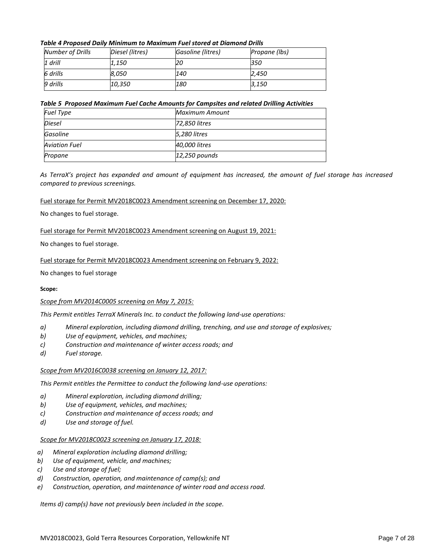## *Table 4 Proposed Daily Minimum to Maximum Fuel stored at Diamond Drills*

| Number of Drills | Diesel (litres) | Gasoline (litres) | Propane (lbs) |
|------------------|-----------------|-------------------|---------------|
| $1$ drill        | 1,150           | 20                | 350           |
| 6 drills         | 8,050           | 140               | 2.450         |
| 9 drills         | 10,350          | 180               | 3,150         |

## *Table 5 Proposed Maximum Fuel Cache Amounts for Campsites and related Drilling Activities*

| <b>Fuel Type</b>     | Maximum Amount  |
|----------------------|-----------------|
| Diesel               | 72,850 litres   |
| Gasoline             | 5,280 litres    |
| <b>Aviation Fuel</b> | 40,000 litres   |
| Propane              | $12,250$ pounds |

*As TerraX's project has expanded and amount of equipment has increased, the amount of fuel storage has increased compared to previous screenings.* 

## Fuel storage for Permit MV2018C0023 Amendment screening on December 17, 2020:

## No changes to fuel storage.

## Fuel storage for Permit MV2018C0023 Amendment screening on August 19, 2021:

No changes to fuel storage.

## Fuel storage for Permit MV2018C0023 Amendment screening on February 9, 2022:

## No changes to fuel storage

#### **Scope:**

## *Scope from MV2014C0005 screening on May 7, 2015:*

*This Permit entitles TerraX Minerals Inc. to conduct the following land-use operations:*

- *a) Mineral exploration, including diamond drilling, trenching, and use and storage of explosives;*
- *b) Use of equipment, vehicles, and machines;*
- *c) Construction and maintenance of winter access roads; and*
- *d) Fuel storage.*

#### *Scope from MV2016C0038 screening on January 12, 2017:*

*This Permit entitles the Permittee to conduct the following land-use operations:*

- *a) Mineral exploration, including diamond drilling;*
- *b) Use of equipment, vehicles, and machines;*
- *c) Construction and maintenance of access roads; and*
- *d) Use and storage of fuel.*

#### *Scope for MV2018C0023 screening on January 17, 2018:*

- *a) Mineral exploration including diamond drilling;*
- *b) Use of equipment, vehicle, and machines;*
- *c) Use and storage of fuel;*
- *d) Construction, operation, and maintenance of camp(s); and*
- *e) Construction, operation, and maintenance of winter road and access road.*

*Items d) camp(s) have not previously been included in the scope.*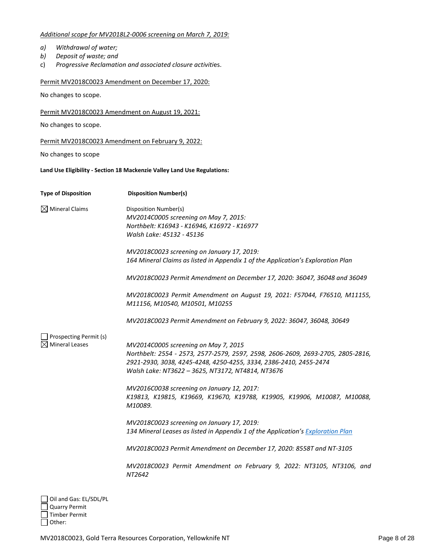## *Additional scope for MV2018L2-0006 screening on March 7, 2019:*

- *a) Withdrawal of water;*
- *b) Deposit of waste; and*
- c) *Progressive Reclamation and associated closure activiti*es.

## Permit MV2018C0023 Amendment on December 17, 2020:

No changes to scope.

## Permit MV2018C0023 Amendment on August 19, 2021:

No changes to scope.

## Permit MV2018C0023 Amendment on February 9, 2022:

No changes to scope

**Land Use Eligibility - Section 18 Mackenzie Valley Land Use Regulations:**

| <b>Type of Disposition</b>                                             | <b>Disposition Number(s)</b>                                                                                                                                                                                                                      |
|------------------------------------------------------------------------|---------------------------------------------------------------------------------------------------------------------------------------------------------------------------------------------------------------------------------------------------|
| $\boxtimes$ Mineral Claims                                             | Disposition Number(s)<br>MV2014C0005 screening on May 7, 2015:<br>Northbelt: K16943 - K16946, K16972 - K16977<br>Walsh Lake: 45132 - 45136                                                                                                        |
|                                                                        | MV2018C0023 screening on January 17, 2019:<br>164 Mineral Claims as listed in Appendix 1 of the Application's Exploration Plan                                                                                                                    |
|                                                                        | MV2018C0023 Permit Amendment on December 17, 2020: 36047, 36048 and 36049                                                                                                                                                                         |
|                                                                        | MV2018C0023 Permit Amendment on August 19, 2021: F57044, F76510, M11155,<br>M11156, M10540, M10501, M10255                                                                                                                                        |
|                                                                        | MV2018C0023 Permit Amendment on February 9, 2022: 36047, 36048, 30649                                                                                                                                                                             |
| Prospecting Permit (s)<br><b>Mineral Leases</b>                        | MV2014C0005 screening on May 7, 2015<br>Northbelt: 2554 - 2573, 2577-2579, 2597, 2598, 2606-2609, 2693-2705, 2805-2816,<br>2921-2930, 3038, 4245-4248, 4250-4255, 3334, 2386-2410, 2455-2474<br>Walsh Lake: NT3622 - 3625, NT3172, NT4814, NT3676 |
|                                                                        | MV2016C0038 screening on January 12, 2017:<br>K19813, K19815, K19669, K19670, K19788, K19905, K19906, M10087, M10088,<br>M10089.                                                                                                                  |
|                                                                        | MV2018C0023 screening on January 17, 2019:<br>134 Mineral Leases as listed in Appendix 1 of the Application's Exploration Plan                                                                                                                    |
|                                                                        | MV2018C0023 Permit Amendment on December 17, 2020: 8558T and NT-3105                                                                                                                                                                              |
|                                                                        | MV2018C0023 Permit Amendment on February 9, 2022: NT3105, NT3106, and<br>NT2642                                                                                                                                                                   |
| Oil and Gas: EL/SDL/PL<br><b>Quarry Permit</b><br><b>Timber Permit</b> |                                                                                                                                                                                                                                                   |

 $\overline{\Box}$  Other: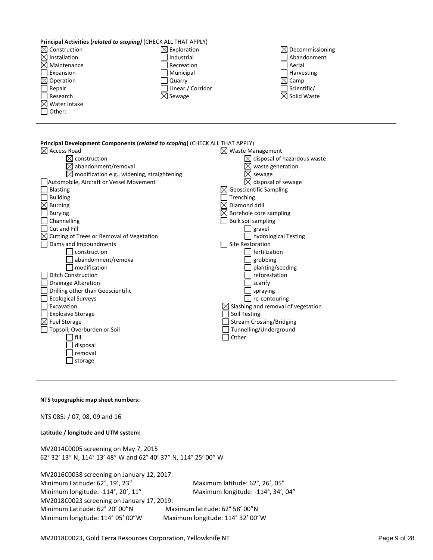## **Principal Activities (***related to scoping)* (CHECK ALL THAT APPLY)

| $\boxtimes$ Construction | $\boxtimes$ Exploration | $\boxtimes$ Decommissioning |
|--------------------------|-------------------------|-----------------------------|
| $\boxtimes$ Installation | Industrial              | Abandonment                 |
| $\boxtimes$ Maintenance  | Recreation              | <b>Aerial</b>               |
| Expansion                | Municipal               | <b>Harvesting</b>           |
| $\boxtimes$ Operation    | Quarry                  | $\boxtimes$ Camp            |
| Repair                   | Linear / Corridor       | Scientific/                 |
| Research                 | $\boxtimes$ Sewage      | $\boxtimes$ Solid Waste     |
| $\boxtimes$ Water Intake |                         |                             |
| Other:                   |                         |                             |
|                          |                         |                             |

| Principal Development Components (related to scoping) (CHECK ALL THAT APPLY) |                                    |
|------------------------------------------------------------------------------|------------------------------------|
| $\boxtimes$ Access Road                                                      | $\boxtimes$ Waste Management       |
| construction                                                                 | disposal of hazardous waste        |
| abandonment/removal                                                          | waste generation                   |
| modification e.g., widening, straightening<br>⊠                              | sewage                             |
| Automobile, Aircraft or Vessel Movement                                      | disposal of sewage                 |
| <b>Blasting</b>                                                              | <b>Geoscientific Sampling</b>      |
| <b>Building</b>                                                              | Trenching                          |
| <b>Burning</b>                                                               | Diamond drill                      |
| <b>Burying</b>                                                               | Borehole core sampling             |
| Channelling                                                                  | <b>Bulk soil sampling</b>          |
| Cut and Fill                                                                 | gravel                             |
| Cutting of Trees or Removal of Vegetation                                    | hydrological Testing               |
| Dams and Impoundments                                                        | <b>Site Restoration</b>            |
| construction                                                                 | fertilization                      |
| abandonment/remova                                                           | grubbing                           |
| modification                                                                 | planting/seeding                   |
| <b>Ditch Construction</b>                                                    | reforestation                      |
| <b>Drainage Alteration</b>                                                   | scarify                            |
| Drilling other than Geoscientific                                            | spraying                           |
| <b>Ecological Surveys</b>                                                    | re-contouring                      |
| Excavation                                                                   | Slashing and removal of vegetation |
| <b>Explosive Storage</b>                                                     | Soil Testing                       |
| ⊠<br><b>Fuel Storage</b>                                                     | <b>Stream Crossing/Bridging</b>    |
| Topsoil, Overburden or Soil                                                  | Tunnelling/Underground             |
| fill                                                                         | Other:                             |
| disposal                                                                     |                                    |
| removal                                                                      |                                    |
| storage                                                                      |                                    |

#### **NTS topographic map sheet numbers:**

NTS 085J / 07, 08, 09 and 16

#### **Latitude / longitude and UTM system:**

MV2014C0005 screening on May 7, 2015 62° 32' 13" N, 114° 13' 48" W and 62° 40' 37" N, 114° 25' 00" W

MV2016C0038 screening on January 12, 2017: Minimum Latitude: 62°, 19', 23" Maximum latitude: 62°, 26', 05" Minimum longitude: -114°, 20', 11" Maximum longitude: -114°, 34', 04" MV2018C0023 screening on January 17, 2019: Minimum Latitude: 62° 20' 00"N Maximum latitude: 62° 58' 00"N Minimum longitude: 114° 05' 00"W Maximum longitude: 114° 32' 00"W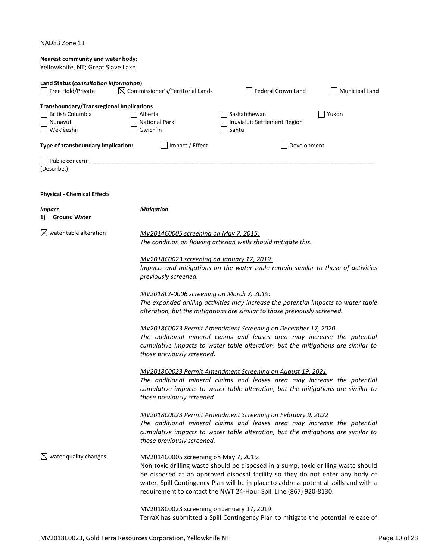| NAD83 Zone 11 |  |  |
|---------------|--|--|
|---------------|--|--|

| Nearest community and water body:<br>Yellowknife, NT; Great Slave Lake                                                                                            |                                                                                                        |                                                                                                                                                                                                                                                                                                                                   |       |
|-------------------------------------------------------------------------------------------------------------------------------------------------------------------|--------------------------------------------------------------------------------------------------------|-----------------------------------------------------------------------------------------------------------------------------------------------------------------------------------------------------------------------------------------------------------------------------------------------------------------------------------|-------|
| Land Status (consultation information)<br>$\boxtimes$ Commissioner's/Territorial Lands<br><b>Federal Crown Land</b><br>Free Hold/Private<br><b>Municipal Land</b> |                                                                                                        |                                                                                                                                                                                                                                                                                                                                   |       |
| <b>Transboundary/Transregional Implications</b><br><b>British Columbia</b><br>Nunavut<br>Wek'èezhìi                                                               | Alberta<br><b>National Park</b><br>Gwich'in                                                            | Saskatchewan<br>Inuvialuit Settlement Region<br>Sahtu                                                                                                                                                                                                                                                                             | Yukon |
| Type of transboundary implication:                                                                                                                                | Impact / Effect                                                                                        | Development                                                                                                                                                                                                                                                                                                                       |       |
| Public concern: ____<br>(Describe.)                                                                                                                               |                                                                                                        |                                                                                                                                                                                                                                                                                                                                   |       |
| <b>Physical - Chemical Effects</b>                                                                                                                                |                                                                                                        |                                                                                                                                                                                                                                                                                                                                   |       |
| <b>Impact</b><br><b>Ground Water</b><br>1)                                                                                                                        | <b>Mitigation</b>                                                                                      |                                                                                                                                                                                                                                                                                                                                   |       |
| water table alteration<br>⊠                                                                                                                                       | MV2014C0005 screening on May 7, 2015:<br>The condition on flowing artesian wells should mitigate this. |                                                                                                                                                                                                                                                                                                                                   |       |
|                                                                                                                                                                   | MV2018C0023 screening on January 17, 2019:<br>previously screened.                                     | Impacts and mitigations on the water table remain similar to those of activities                                                                                                                                                                                                                                                  |       |
|                                                                                                                                                                   | <u>MV2018L2-0006 screening on March 7, 2019:</u>                                                       | The expanded drilling activities may increase the potential impacts to water table<br>alteration, but the mitigations are similar to those previously screened.                                                                                                                                                                   |       |
|                                                                                                                                                                   | those previously screened.                                                                             | MV2018C0023 Permit Amendment Screening on December 17, 2020<br>The additional mineral claims and leases area may increase the potential<br>cumulative impacts to water table alteration, but the mitigations are similar to                                                                                                       |       |
|                                                                                                                                                                   | those previously screened.                                                                             | MV2018C0023 Permit Amendment Screening on August 19, 2021<br>The additional mineral claims and leases area may increase the potential<br>cumulative impacts to water table alteration, but the mitigations are similar to                                                                                                         |       |
|                                                                                                                                                                   | those previously screened.                                                                             | MV2018C0023 Permit Amendment Screening on February 9, 2022<br>The additional mineral claims and leases area may increase the potential<br>cumulative impacts to water table alteration, but the mitigations are similar to                                                                                                        |       |
| $\boxtimes$ water quality changes                                                                                                                                 | MV2014C0005 screening on May 7, 2015:                                                                  | Non-toxic drilling waste should be disposed in a sump, toxic drilling waste should<br>be disposed at an approved disposal facility so they do not enter any body of<br>water. Spill Contingency Plan will be in place to address potential spills and with a<br>requirement to contact the NWT 24-Hour Spill Line (867) 920-8130. |       |
|                                                                                                                                                                   | MV2018C0023 screening on January 17, 2019:                                                             |                                                                                                                                                                                                                                                                                                                                   |       |

TerraX has submitted a Spill Contingency Plan to mitigate the potential release of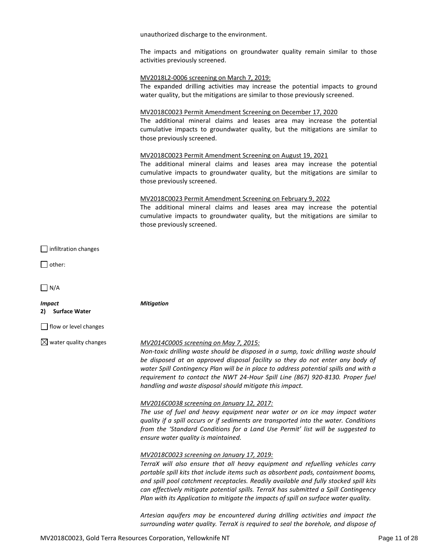unauthorized discharge to the environment.

The impacts and mitigations on groundwater quality remain similar to those activities previously screened.

#### MV2018L2-0006 screening on March 7, 2019:

The expanded drilling activities may increase the potential impacts to ground water quality, but the mitigations are similar to those previously screened.

## MV2018C0023 Permit Amendment Screening on December 17, 2020

The additional mineral claims and leases area may increase the potential cumulative impacts to groundwater quality, but the mitigations are similar to those previously screened.

## MV2018C0023 Permit Amendment Screening on August 19, 2021

The additional mineral claims and leases area may increase the potential cumulative impacts to groundwater quality, but the mitigations are similar to those previously screened.

## MV2018C0023 Permit Amendment Screening on February 9, 2022

The additional mineral claims and leases area may increase the potential cumulative impacts to groundwater quality, but the mitigations are similar to those previously screened.

|  | $\Box$ infiltration changes |  |
|--|-----------------------------|--|
|--|-----------------------------|--|

□ other:

 $\Box$  N/A

*Impact* **2) Surface Water**

*Mitigation*

flow or level changes

## water quality changes *MV2014C0005 screening on May 7, 2015:*

*Non-toxic drilling waste should be disposed in a sump, toxic drilling waste should be disposed at an approved disposal facility so they do not enter any body of water Spill Contingency Plan will be in place to address potential spills and with a requirement to contact the NWT 24-Hour Spill Line (867) 920-8130. Proper fuel handling and waste disposal should mitigate this impact.*

#### *MV2016C0038 screening on January 12, 2017:*

*The use of fuel and heavy equipment near water or on ice may impact water quality if a spill occurs or if sediments are transported into the water. Conditions from the 'Standard Conditions for a Land Use Permit' list will be suggested to ensure water quality is maintained.*

#### *MV2018C0023 screening on January 17, 2019:*

*TerraX will also ensure that all heavy equipment and refuelling vehicles carry portable spill kits that include items such as absorbent pads, containment booms, and spill pool catchment receptacles. Readily available and fully stocked spill kits can effectively mitigate potential spills. TerraX has submitted a Spill Contingency Plan with its Application to mitigate the impacts of spill on surface water quality.* 

*Artesian aquifers may be encountered during drilling activities and impact the surrounding water quality. TerraX is required to seal the borehole, and dispose of*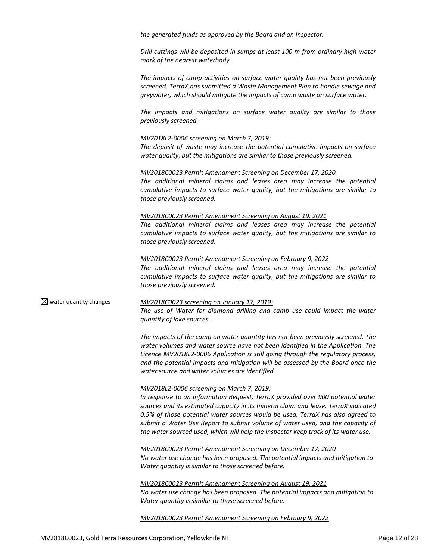*the generated fluids as approved by the Board and an Inspector.* 

*Drill cuttings will be deposited in sumps at least 100 m from ordinary high-water mark of the nearest waterbody.* 

*The impacts of camp activities on surface water quality has not been previously screened. TerraX has submitted a Waste Management Plan to handle sewage and greywater, which should mitigate the impacts of camp waste on surface water.* 

*The impacts and mitigations on surface water quality are similar to those previously screened.* 

#### *MV2018L2-0006 screening on March 7, 2019:*

*The deposit of waste may increase the potential cumulative impacts on surface water quality, but the mitigations are similar to those previously screened.* 

#### *MV2018C0023 Permit Amendment Screening on December 17, 2020*

*The additional mineral claims and leases area may increase the potential cumulative impacts to surface water quality, but the mitigations are similar to those previously screened.* 

#### *MV2018C0023 Permit Amendment Screening on August 19, 2021*

*The additional mineral claims and leases area may increase the potential cumulative impacts to surface water quality, but the mitigations are similar to those previously screened.*

#### *MV2018C0023 Permit Amendment Screening on February 9, 2022*

*The additional mineral claims and leases area may increase the potential cumulative impacts to surface water quality, but the mitigations are similar to those previously screened.*

water quantity changes *MV2018C0023 screening on January 17, 2019: The use of Water for diamond drilling and camp use could impact the water quantity of lake sources.* 

> *The impacts of the camp on water quantity has not been previously screened. The water volumes and water source have not been identified in the Application. The Licence MV2018L2-0006 Application is still going through the regulatory process, and the potential impacts and mitigation will be assessed by the Board once the water source and water volumes are identified.*

#### *MV2018L2-0006 screening on March 7, 2019:*

*In response to an Information Request, TerraX provided over 900 potential water sources and its estimated capacity in its mineral claim and lease. TerraX indicated 0.5% of those potential water sources would be used. TerraX has also agreed to submit a Water Use Report to submit volume of water used, and the capacity of the water sourced used, which will help the Inspector keep track of its water use.* 

*MV2018C0023 Permit Amendment Screening on December 17, 2020 No water use change has been proposed. The potential impacts and mitigation to Water quantity is similar to those screened before.* 

*MV2018C0023 Permit Amendment Screening on August 19, 2021 No water use change has been proposed. The potential impacts and mitigation to Water quantity is similar to those screened before.*

*MV2018C0023 Permit Amendment Screening on February 9, 2022*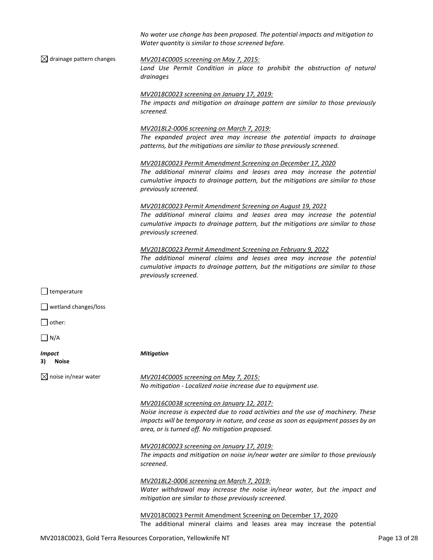|                                      | No water use change has been proposed. The potential impacts and mitigation to<br>Water quantity is similar to those screened before.                                                                                                                                  |  |
|--------------------------------------|------------------------------------------------------------------------------------------------------------------------------------------------------------------------------------------------------------------------------------------------------------------------|--|
| $\boxtimes$ drainage pattern changes | MV2014C0005 screening on May 7, 2015:<br>Land Use Permit Condition in place to prohibit the obstruction of natural<br>drainages                                                                                                                                        |  |
|                                      | MV2018C0023 screening on January 17, 2019:<br>The impacts and mitigation on drainage pattern are similar to those previously<br>screened.                                                                                                                              |  |
|                                      | <u>MV2018L2-0006 screening on March 7, 2019:</u><br>The expanded project area may increase the potential impacts to drainage<br>patterns, but the mitigations are similar to those previously screened.                                                                |  |
|                                      | MV2018C0023 Permit Amendment Screening on December 17, 2020<br>The additional mineral claims and leases area may increase the potential<br>cumulative impacts to drainage pattern, but the mitigations are similar to those<br>previously screened.                    |  |
|                                      | MV2018C0023 Permit Amendment Screening on August 19, 2021<br>The additional mineral claims and leases area may increase the potential<br>cumulative impacts to drainage pattern, but the mitigations are similar to those<br>previously screened.                      |  |
|                                      | MV2018C0023 Permit Amendment Screening on February 9, 2022<br>The additional mineral claims and leases area may increase the potential<br>cumulative impacts to drainage pattern, but the mitigations are similar to those<br>previously screened.                     |  |
| $\Box$ temperature                   |                                                                                                                                                                                                                                                                        |  |
| $\Box$ wetland changes/loss          |                                                                                                                                                                                                                                                                        |  |
| $\vert$ other:                       |                                                                                                                                                                                                                                                                        |  |
| $\vert$ N/A                          |                                                                                                                                                                                                                                                                        |  |
| <i>Impact</i><br>3)<br><b>Noise</b>  | <b>Mitigation</b>                                                                                                                                                                                                                                                      |  |
| $\boxtimes$ noise in/near water      | MV2014C0005 screening on May 7, 2015:<br>No mitigation - Localized noise increase due to equipment use.                                                                                                                                                                |  |
|                                      | MV2016C0038 screening on January 12, 2017:<br>Noise increase is expected due to road activities and the use of machinery. These<br>impacts will be temporary in nature, and cease as soon as equipment passes by an<br>area, or is turned off. No mitigation proposed. |  |
|                                      | MV2018C0023 screening on January 17, 2019:<br>The impacts and mitigation on noise in/near water are similar to those previously<br>screened.                                                                                                                           |  |
|                                      | MV2018L2-0006 screening on March 7, 2019:<br>Water withdrawal may increase the noise in/near water, but the impact and<br>mitigation are similar to those previously screened.                                                                                         |  |
|                                      | MV2018C0023 Permit Amendment Screening on December 17, 2020<br>The additional mineral claims and leases area may increase the potential                                                                                                                                |  |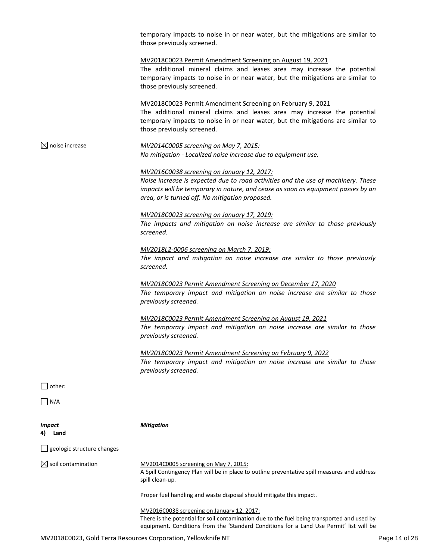|                                | temporary impacts to noise in or near water, but the mitigations are similar to<br>those previously screened.                                                                                                                                                                 |
|--------------------------------|-------------------------------------------------------------------------------------------------------------------------------------------------------------------------------------------------------------------------------------------------------------------------------|
|                                | MV2018C0023 Permit Amendment Screening on August 19, 2021<br>The additional mineral claims and leases area may increase the potential<br>temporary impacts to noise in or near water, but the mitigations are similar to<br>those previously screened.                        |
|                                | MV2018C0023 Permit Amendment Screening on February 9, 2021<br>The additional mineral claims and leases area may increase the potential<br>temporary impacts to noise in or near water, but the mitigations are similar to<br>those previously screened.                       |
| $\boxtimes$ noise increase     | MV2014C0005 screening on May 7, 2015:<br>No mitigation - Localized noise increase due to equipment use.                                                                                                                                                                       |
|                                | <u>MV2016C0038 screening on January 12, 2017:</u><br>Noise increase is expected due to road activities and the use of machinery. These<br>impacts will be temporary in nature, and cease as soon as equipment passes by an<br>area, or is turned off. No mitigation proposed. |
|                                | MV2018C0023 screening on January 17, 2019:<br>The impacts and mitigation on noise increase are similar to those previously<br>screened.                                                                                                                                       |
|                                | MV2018L2-0006 screening on March 7, 2019:<br>The impact and mitigation on noise increase are similar to those previously<br>screened.                                                                                                                                         |
|                                | MV2018C0023 Permit Amendment Screening on December 17, 2020<br>The temporary impact and mitigation on noise increase are similar to those<br>previously screened.                                                                                                             |
|                                | MV2018C0023 Permit Amendment Screening on August 19, 2021<br>The temporary impact and mitigation on noise increase are similar to those<br>previously screened.                                                                                                               |
|                                | MV2018C0023 Permit Amendment Screening on February 9, 2022<br>The temporary impact and mitigation on noise increase are similar to those<br>previously screened.                                                                                                              |
| $\Box$ other:                  |                                                                                                                                                                                                                                                                               |
| $\Box$ N/A                     |                                                                                                                                                                                                                                                                               |
| <b>Impact</b><br>Land          | <b>Mitigation</b>                                                                                                                                                                                                                                                             |
| geologic structure changes     |                                                                                                                                                                                                                                                                               |
| $\boxtimes$ soil contamination | MV2014C0005 screening on May 7, 2015:<br>A Spill Contingency Plan will be in place to outline preventative spill measures and address<br>spill clean-up.                                                                                                                      |
|                                | Proper fuel handling and waste disposal should mitigate this impact.                                                                                                                                                                                                          |
|                                | MV2016C0038 screening on January 12, 2017:<br>There is the potential for soil contamination due to the fuel being transported and used by                                                                                                                                     |

equipment. Conditions from the 'Standard Conditions for a Land Use Permit' list will be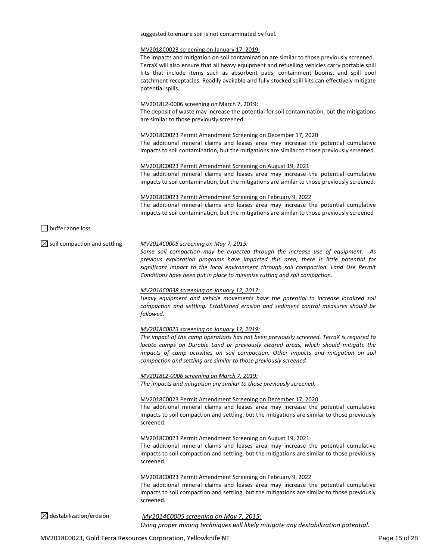suggested to ensure soil is not contaminated by fuel.

#### MV2018C0023 screening on January 17, 2019:

The impacts and mitigation on soil contamination are similar to those previously screened. TerraX will also ensure that all heavy equipment and refuelling vehicles carry portable spill kits that include items such as absorbent pads, containment booms, and spill pool catchment receptacles. Readily available and fully stocked spill kits can effectively mitigate potential spills.

#### MV2018L2-0006 screening on March 7, 2019:

The deposit of waste may increase the potential for soil contamination, but the mitigations are similar to those previously screened.

#### MV2018C0023 Permit Amendment Screening on December 17, 2020

The additional mineral claims and leases area may increase the potential cumulative impacts to soil contamination, but the mitigations are similar to those previously screened.

#### MV2018C0023 Permit Amendment Screening on August 19, 2021

The additional mineral claims and leases area may increase the potential cumulative impacts to soil contamination, but the mitigations are similar to those previously screened.

#### MV2018C0023 Permit Amendment Screening on February 9, 2022

The additional mineral claims and leases area may increase the potential cumulative impacts to soil contamination, but the mitigations are similar to those previously screened

 $\Box$  buffer zone loss

#### soil compaction and settling *MV2014C0005 screening on May 7, 2015:*

*Some soil compaction may be expected through the increase use of equipment. As previous exploration programs have impacted this area, there is little potential for significant impact to the local environment through soil compaction. Land Use Permit Conditions have been put in place to minimize rutting and soil compaction.*

#### *MV2016C0038 screening on January 12, 2017:*

*Heavy equipment and vehicle movements have the potential to increase localized soil compaction and settling. Established erosion and sediment control measures should be followed.*

*MV2018C0023 screening on January 17, 2019:*

*The impact of the camp operations has not been previously screened. TerraX is required to locate camps on Durable Land or previously cleared areas, which should mitigate the impacts of camp activities on soil compaction. Other impacts and mitigation on soil compaction and settling are similar to those previously screened.*

*MV2018L2-0006 screening on March 7, 2019: The impacts and mitigation are similar to those previously screened.* 

#### MV2018C0023 Permit Amendment Screening on December 17, 2020

The additional mineral claims and leases area may increase the potential cumulative impacts to soil compaction and settling, but the mitigations are similar to those previously screened.

MV2018C0023 Permit Amendment Screening on August 19, 2021

The additional mineral claims and leases area may increase the potential cumulative impacts to soil compaction and settling, but the mitigations are similar to those previously screened.

MV2018C0023 Permit Amendment Screening on February 9, 2022

The additional mineral claims and leases area may increase the potential cumulative impacts to soil compaction and settling, but the mitigations are similar to those previously screened.

destabilization/erosion *MV2014C0005 screening on May 7, 2015: Using proper mining techniques will likely mitigate any destabilization potential.*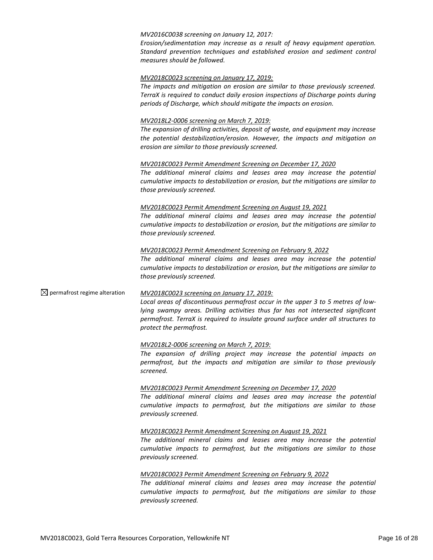#### *MV2016C0038 screening on January 12, 2017:*

*Erosion/sedimentation may increase as a result of heavy equipment operation. Standard prevention techniques and established erosion and sediment control measures should be followed.*

#### *MV2018C0023 screening on January 17, 2019:*

*The impacts and mitigation on erosion are similar to those previously screened. TerraX is required to conduct daily erosion inspections of Discharge points during periods of Discharge, which should mitigate the impacts on erosion.* 

#### *MV2018L2-0006 screening on March 7, 2019:*

*The expansion of drilling activities, deposit of waste, and equipment may increase the potential destabilization/erosion. However, the impacts and mitigation on erosion are similar to those previously screened.*

#### *MV2018C0023 Permit Amendment Screening on December 17, 2020*

*The additional mineral claims and leases area may increase the potential cumulative impacts to destabilization or erosion, but the mitigations are similar to those previously screened.* 

#### *MV2018C0023 Permit Amendment Screening on August 19, 2021*

*The additional mineral claims and leases area may increase the potential cumulative impacts to destabilization or erosion, but the mitigations are similar to those previously screened.*

## *MV2018C0023 Permit Amendment Screening on February 9, 2022 The additional mineral claims and leases area may increase the potential cumulative impacts to destabilization or erosion, but the mitigations are similar to those previously screened.*

#### permafrost regime alteration *MV2018C0023 screening on January 17, 2019:*

*Local areas of discontinuous permafrost occur in the upper 3 to 5 metres of lowlying swampy areas. Drilling activities thus far has not intersected significant permafrost. TerraX is required to insulate ground surface under all structures to protect the permafrost.* 

#### *MV2018L2-0006 screening on March 7, 2019:*

*The expansion of drilling project may increase the potential impacts on permafrost, but the impacts and mitigation are similar to those previously screened.*

#### *MV2018C0023 Permit Amendment Screening on December 17, 2020*

*The additional mineral claims and leases area may increase the potential cumulative impacts to permafrost, but the mitigations are similar to those previously screened.* 

#### *MV2018C0023 Permit Amendment Screening on August 19, 2021*

*The additional mineral claims and leases area may increase the potential cumulative impacts to permafrost, but the mitigations are similar to those previously screened.*

#### *MV2018C0023 Permit Amendment Screening on February 9, 2022*

*The additional mineral claims and leases area may increase the potential cumulative impacts to permafrost, but the mitigations are similar to those previously screened.*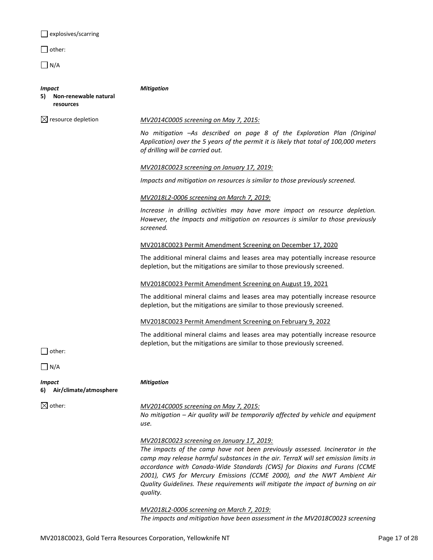explosives/scarring

□ other:

 $\Box$  N/A

# *Impact*

*Mitigation*

| <br>5) | Non-renewable natural |
|--------|-----------------------|
|        | resources             |

## resource depletion *MV2014C0005 screening on May 7, 2015:*

*No mitigation –As described on page 8 of the Exploration Plan (Original Application) over the 5 years of the permit it is likely that total of 100,000 meters of drilling will be carried out.*

*MV2018C0023 screening on January 17, 2019:*

*Impacts and mitigation on resources is similar to those previously screened.* 

#### *MV2018L2-0006 screening on March 7, 2019:*

*Increase in drilling activities may have more impact on resource depletion. However, the Impacts and mitigation on resources is similar to those previously screened.*

MV2018C0023 Permit Amendment Screening on December 17, 2020

The additional mineral claims and leases area may potentially increase resource depletion, but the mitigations are similar to those previously screened.

#### MV2018C0023 Permit Amendment Screening on August 19, 2021

The additional mineral claims and leases area may potentially increase resource depletion, but the mitigations are similar to those previously screened.

#### MV2018C0023 Permit Amendment Screening on February 9, 2022

The additional mineral claims and leases area may potentially increase resource depletion, but the mitigations are similar to those previously screened.

 $\Box$  other:

 $\Box$  N/A

*Impact* **6) Air/climate/atmosphere**

## other: *MV2014C0005 screening on May 7, 2015:*

*No mitigation – Air quality will be temporarily affected by vehicle and equipment use.*

#### *MV2018C0023 screening on January 17, 2019:*

*The impacts of the camp have not been previously assessed. Incinerator in the camp may release harmful substances in the air. TerraX will set emission limits in accordance with Canada-Wide Standards (CWS) for Dioxins and Furans (CCME 2001), CWS for Mercury Emissions (CCME 2000), and the NWT Ambient Air Quality Guidelines. These requirements will mitigate the impact of burning on air quality.*

*MV2018L2-0006 screening on March 7, 2019: The impacts and mitigation have been assessment in the MV2018C0023 screening* 

*Mitigation*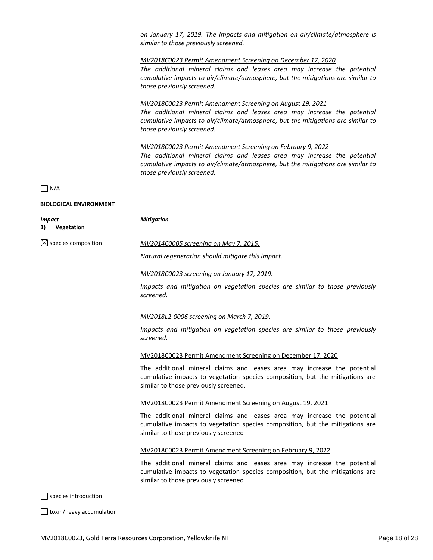*on January 17, 2019. The Impacts and mitigation on air/climate/atmosphere is similar to those previously screened.*

#### *MV2018C0023 Permit Amendment Screening on December 17, 2020*

*The additional mineral claims and leases area may increase the potential cumulative impacts to air/climate/atmosphere, but the mitigations are similar to those previously screened.* 

#### *MV2018C0023 Permit Amendment Screening on August 19, 2021*

*The additional mineral claims and leases area may increase the potential cumulative impacts to air/climate/atmosphere, but the mitigations are similar to those previously screened.*

#### *MV2018C0023 Permit Amendment Screening on February 9, 2022*

*The additional mineral claims and leases area may increase the potential cumulative impacts to air/climate/atmosphere, but the mitigations are similar to those previously screened.*

## $\Box$  N/A

## **BIOLOGICAL ENVIRONMENT**

| <b>Mitigation</b><br><b>Impact</b> |                                                                                                                                                                                                    |
|------------------------------------|----------------------------------------------------------------------------------------------------------------------------------------------------------------------------------------------------|
| 1)<br>Vegetation                   |                                                                                                                                                                                                    |
| $\boxtimes$ species composition    | MV2014C0005 screening on May 7, 2015:                                                                                                                                                              |
|                                    | Natural regeneration should mitigate this impact.                                                                                                                                                  |
|                                    | MV2018C0023 screening on January 17, 2019:                                                                                                                                                         |
|                                    | Impacts and mitigation on vegetation species are similar to those previously<br>screened.                                                                                                          |
|                                    | MV2018L2-0006 screening on March 7, 2019:                                                                                                                                                          |
|                                    | Impacts and mitigation on vegetation species are similar to those previously<br>screened.                                                                                                          |
|                                    | MV2018C0023 Permit Amendment Screening on December 17, 2020                                                                                                                                        |
|                                    | The additional mineral claims and leases area may increase the potential<br>cumulative impacts to vegetation species composition, but the mitigations are<br>similar to those previously screened. |
|                                    | MV2018C0023 Permit Amendment Screening on August 19, 2021                                                                                                                                          |
|                                    | The additional mineral claims and leases area may increase the potential<br>cumulative impacts to vegetation species composition, but the mitigations are<br>similar to those previously screened  |
|                                    | MV2018C0023 Permit Amendment Screening on February 9, 2022                                                                                                                                         |
|                                    | The additional mineral claims and leases area may increase the potential<br>cumulative impacts to vegetation species composition, but the mitigations are<br>similar to those previously screened  |
| $\Box$ species introduction        |                                                                                                                                                                                                    |
| toxin/heavy accumulation           |                                                                                                                                                                                                    |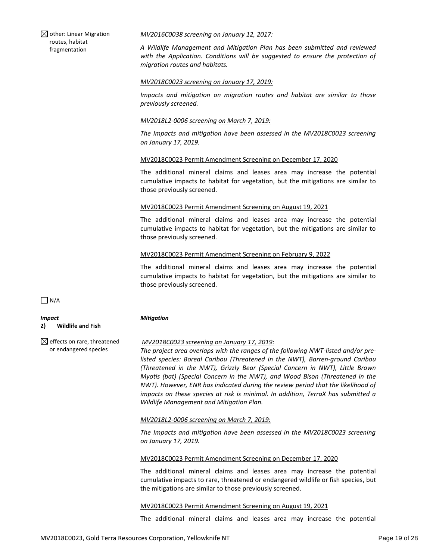$\boxtimes$  other: Linear Migration routes, habitat fragmentation

#### *MV2016C0038 screening on January 12, 2017:*

*A Wildlife Management and Mitigation Plan has been submitted and reviewed with the Application. Conditions will be suggested to ensure the protection of migration routes and habitats.*

#### *MV2018C0023 screening on January 17, 2019:*

*Impacts and mitigation on migration routes and habitat are similar to those previously screened.*

#### *MV2018L2-0006 screening on March 7, 2019:*

*The Impacts and mitigation have been assessed in the MV2018C0023 screening on January 17, 2019.* 

#### MV2018C0023 Permit Amendment Screening on December 17, 2020

The additional mineral claims and leases area may increase the potential cumulative impacts to habitat for vegetation, but the mitigations are similar to those previously screened.

#### MV2018C0023 Permit Amendment Screening on August 19, 2021

The additional mineral claims and leases area may increase the potential cumulative impacts to habitat for vegetation, but the mitigations are similar to those previously screened.

## MV2018C0023 Permit Amendment Screening on February 9, 2022

The additional mineral claims and leases area may increase the potential cumulative impacts to habitat for vegetation, but the mitigations are similar to those previously screened.

 $\Box$  N/A

*Impact* **2) Wildlife and Fish**

*Mitigation*

 $\boxtimes$  effects on rare, threatened or endangered species

## *MV2018C0023 screening on January 17, 2019:*

*The project area overlaps with the ranges of the following NWT-listed and/or prelisted species: Boreal Caribou (Threatened in the NWT), Barren-ground Caribou (Threatened in the NWT), Grizzly Bear (Special Concern in NWT), Little Brown Myotis (bat) (Special Concern in the NWT), and Wood Bison (Threatened in the NWT). However, ENR has indicated during the review period that the likelihood of impacts on these species at risk is minimal. In addition, TerraX has submitted a Wildlife Management and Mitigation Plan.* 

*MV2018L2-0006 screening on March 7, 2019:*

*The Impacts and mitigation have been assessed in the MV2018C0023 screening on January 17, 2019.*

#### MV2018C0023 Permit Amendment Screening on December 17, 2020

The additional mineral claims and leases area may increase the potential cumulative impacts to rare, threatened or endangered wildlife or fish species, but the mitigations are similar to those previously screened.

#### MV2018C0023 Permit Amendment Screening on August 19, 2021

The additional mineral claims and leases area may increase the potential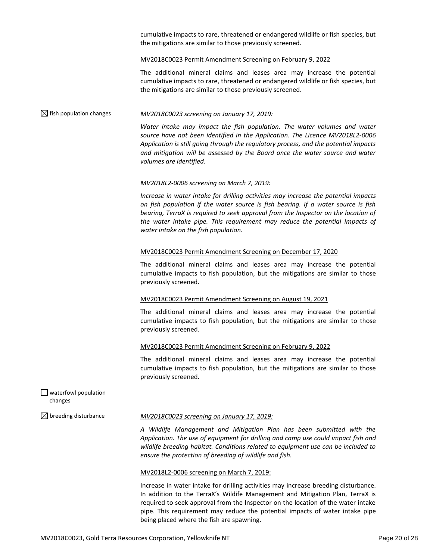cumulative impacts to rare, threatened or endangered wildlife or fish species, but the mitigations are similar to those previously screened.

#### MV2018C0023 Permit Amendment Screening on February 9, 2022

The additional mineral claims and leases area may increase the potential cumulative impacts to rare, threatened or endangered wildlife or fish species, but the mitigations are similar to those previously screened.

#### fish population changes *MV2018C0023 screening on January 17, 2019:*

*Water intake may impact the fish population. The water volumes and water source have not been identified in the Application. The Licence MV2018L2-0006 Application is still going through the regulatory process, and the potential impacts and mitigation will be assessed by the Board once the water source and water volumes are identified.*

#### *MV2018L2-0006 screening on March 7, 2019:*

*Increase in water intake for drilling activities may increase the potential impacts on fish population if the water source is fish bearing. If a water source is fish bearing, TerraX is required to seek approval from the Inspector on the location of the water intake pipe. This requirement may reduce the potential impacts of water intake on the fish population.*

#### MV2018C0023 Permit Amendment Screening on December 17, 2020

The additional mineral claims and leases area may increase the potential cumulative impacts to fish population, but the mitigations are similar to those previously screened.

#### MV2018C0023 Permit Amendment Screening on August 19, 2021

The additional mineral claims and leases area may increase the potential cumulative impacts to fish population, but the mitigations are similar to those previously screened.

#### MV2018C0023 Permit Amendment Screening on February 9, 2022

The additional mineral claims and leases area may increase the potential cumulative impacts to fish population, but the mitigations are similar to those previously screened.

| $\Box$ waterfowl population |
|-----------------------------|
| changes                     |

#### breeding disturbance *MV2018C0023 screening on January 17, 2019:*

*A Wildlife Management and Mitigation Plan has been submitted with the Application. The use of equipment for drilling and camp use could impact fish and wildlife breeding habitat. Conditions related to equipment use can be included to ensure the protection of breeding of wildlife and fish.*

#### MV2018L2-0006 screening on March 7, 2019:

Increase in water intake for drilling activities may increase breeding disturbance. In addition to the TerraX's Wildife Management and Mitigation Plan, TerraX is required to seek approval from the Inspector on the location of the water intake pipe. This requirement may reduce the potential impacts of water intake pipe being placed where the fish are spawning.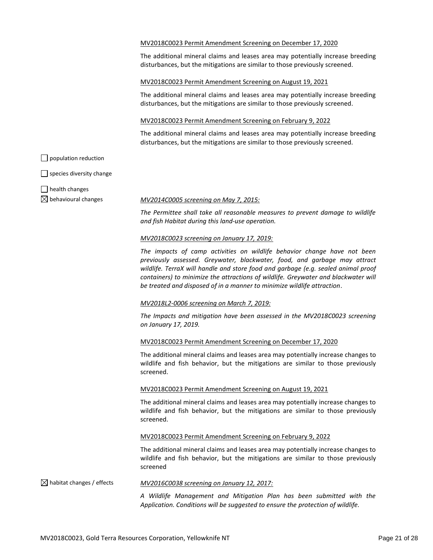#### MV2018C0023 Permit Amendment Screening on December 17, 2020

The additional mineral claims and leases area may potentially increase breeding disturbances, but the mitigations are similar to those previously screened.

#### MV2018C0023 Permit Amendment Screening on August 19, 2021

The additional mineral claims and leases area may potentially increase breeding disturbances, but the mitigations are similar to those previously screened.

#### MV2018C0023 Permit Amendment Screening on February 9, 2022

The additional mineral claims and leases area may potentially increase breeding disturbances, but the mitigations are similar to those previously screened.

population reduction

 $\Box$  species diversity change

 $\Box$  health changes

#### behavioural changes *MV2014C0005 screening on May 7, 2015:*

*The Permittee shall take all reasonable measures to prevent damage to wildlife and fish Habitat during this land-use operation.* 

#### *MV2018C0023 screening on January 17, 2019:*

*The impacts of camp activities on wildlife behavior change have not been previously assessed. Greywater, blackwater, food, and garbage may attract wildlife. TerraX will handle and store food and garbage (e.g. sealed animal proof containers) to minimize the attractions of wildlife. Greywater and blackwater will be treated and disposed of in a manner to minimize wildlife attraction*.

#### *MV2018L2-0006 screening on March 7, 2019:*

*The Impacts and mitigation have been assessed in the MV2018C0023 screening on January 17, 2019.*

#### MV2018C0023 Permit Amendment Screening on December 17, 2020

The additional mineral claims and leases area may potentially increase changes to wildlife and fish behavior, but the mitigations are similar to those previously screened.

#### MV2018C0023 Permit Amendment Screening on August 19, 2021

The additional mineral claims and leases area may potentially increase changes to wildlife and fish behavior, but the mitigations are similar to those previously screened.

#### MV2018C0023 Permit Amendment Screening on February 9, 2022

The additional mineral claims and leases area may potentially increase changes to wildlife and fish behavior, but the mitigations are similar to those previously screened

## habitat changes / effects *MV2016C0038 screening on January 12, 2017:*

*A Wildlife Management and Mitigation Plan has been submitted with the Application. Conditions will be suggested to ensure the protection of wildlife.*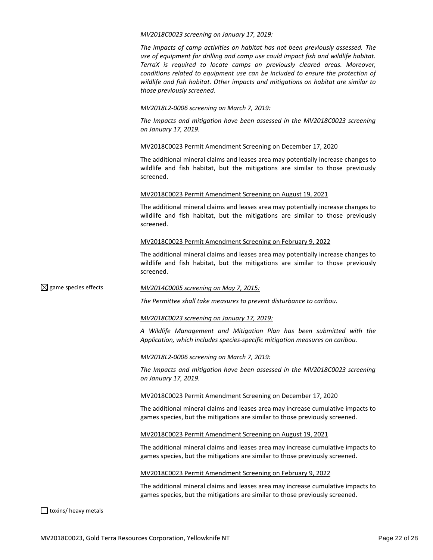#### *MV2018C0023 screening on January 17, 2019:*

*The impacts of camp activities on habitat has not been previously assessed. The use of equipment for drilling and camp use could impact fish and wildlife habitat. TerraX is required to locate camps on previously cleared areas. Moreover, conditions related to equipment use can be included to ensure the protection of wildlife and fish habitat. Other impacts and mitigations on habitat are similar to those previously screened.* 

#### *MV2018L2-0006 screening on March 7, 2019:*

*The Impacts and mitigation have been assessed in the MV2018C0023 screening on January 17, 2019.*

#### MV2018C0023 Permit Amendment Screening on December 17, 2020

The additional mineral claims and leases area may potentially increase changes to wildlife and fish habitat, but the mitigations are similar to those previously screened.

#### MV2018C0023 Permit Amendment Screening on August 19, 2021

The additional mineral claims and leases area may potentially increase changes to wildlife and fish habitat, but the mitigations are similar to those previously screened.

#### MV2018C0023 Permit Amendment Screening on February 9, 2022

The additional mineral claims and leases area may potentially increase changes to wildlife and fish habitat, but the mitigations are similar to those previously screened.

### game species effects *MV2014C0005 screening on May 7, 2015:*

*The Permittee shall take measures to prevent disturbance to caribou.*

#### *MV2018C0023 screening on January 17, 2019:*

*A Wildlife Management and Mitigation Plan has been submitted with the Application, which includes species-specific mitigation measures on caribou.*

#### *MV2018L2-0006 screening on March 7, 2019:*

*The Impacts and mitigation have been assessed in the MV2018C0023 screening on January 17, 2019.*

#### MV2018C0023 Permit Amendment Screening on December 17, 2020

The additional mineral claims and leases area may increase cumulative impacts to games species, but the mitigations are similar to those previously screened.

#### MV2018C0023 Permit Amendment Screening on August 19, 2021

The additional mineral claims and leases area may increase cumulative impacts to games species, but the mitigations are similar to those previously screened.

#### MV2018C0023 Permit Amendment Screening on February 9, 2022

The additional mineral claims and leases area may increase cumulative impacts to games species, but the mitigations are similar to those previously screened.

toxins/ heavy metals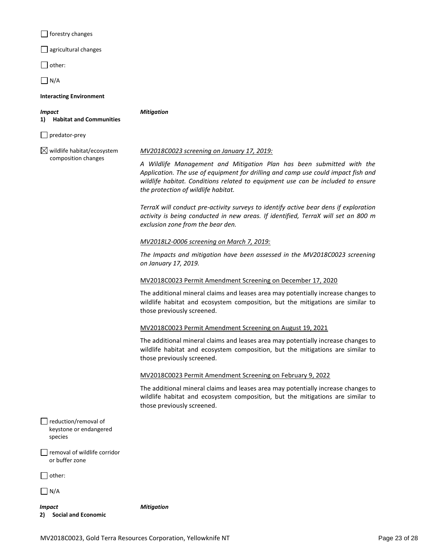|  | forestry changes |  |
|--|------------------|--|
|--|------------------|--|

 $\Box$  agricultural changes

 $\Box$  other:

 $\Box$  N/A

#### **Interacting Environment**

*Impact* **1) Habitat and Communities** *Mitigation*

 $\Box$  predator-prey

 $\boxtimes$  wildlife habitat/ecosystem composition changes

#### *MV2018C0023 screening on January 17, 2019:*

*A Wildlife Management and Mitigation Plan has been submitted with the Application. The use of equipment for drilling and camp use could impact fish and wildlife habitat. Conditions related to equipment use can be included to ensure the protection of wildlife habitat.*

*TerraX will conduct pre-activity surveys to identify active bear dens if exploration activity is being conducted in new areas. If identified, TerraX will set an 800 m exclusion zone from the bear den.* 

## *MV2018L2-0006 screening on March 7, 2019:*

*The Impacts and mitigation have been assessed in the MV2018C0023 screening on January 17, 2019.*

## MV2018C0023 Permit Amendment Screening on December 17, 2020

The additional mineral claims and leases area may potentially increase changes to wildlife habitat and ecosystem composition, but the mitigations are similar to those previously screened.

#### MV2018C0023 Permit Amendment Screening on August 19, 2021

The additional mineral claims and leases area may potentially increase changes to wildlife habitat and ecosystem composition, but the mitigations are similar to those previously screened.

#### MV2018C0023 Permit Amendment Screening on February 9, 2022

The additional mineral claims and leases area may potentially increase changes to wildlife habitat and ecosystem composition, but the mitigations are similar to those previously screened.

| reduction/removal of   |
|------------------------|
| keystone or endangered |
| species                |

#### removal of wildlife corridor or buffer zone

 $\Box$  other:

 $\Box$  N/A

*Impact* **2) Social and Economic** *Mitigation*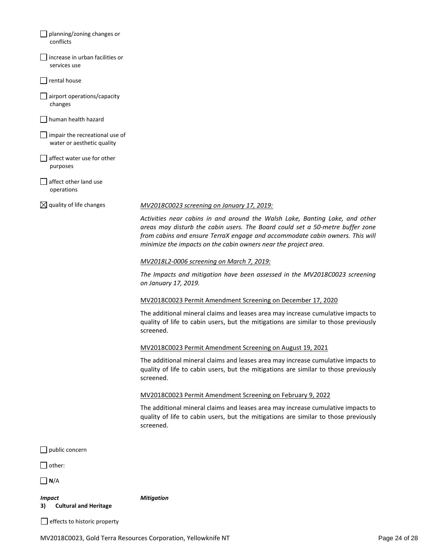| planning/zoning changes or                                   |                                                                                                                                                                                                                                                                                                                  |
|--------------------------------------------------------------|------------------------------------------------------------------------------------------------------------------------------------------------------------------------------------------------------------------------------------------------------------------------------------------------------------------|
| conflicts                                                    |                                                                                                                                                                                                                                                                                                                  |
| increase in urban facilities or<br>services use              |                                                                                                                                                                                                                                                                                                                  |
| rental house                                                 |                                                                                                                                                                                                                                                                                                                  |
| airport operations/capacity<br>changes                       |                                                                                                                                                                                                                                                                                                                  |
| human health hazard                                          |                                                                                                                                                                                                                                                                                                                  |
| impair the recreational use of<br>water or aesthetic quality |                                                                                                                                                                                                                                                                                                                  |
| affect water use for other<br>purposes                       |                                                                                                                                                                                                                                                                                                                  |
| affect other land use<br>operations                          |                                                                                                                                                                                                                                                                                                                  |
| $\boxtimes$ quality of life changes                          | <u>MV2018C0023 screening on January 17, 2019:</u>                                                                                                                                                                                                                                                                |
|                                                              | Activities near cabins in and around the Walsh Lake, Banting Lake, and other<br>areas may disturb the cabin users. The Board could set a 50-metre buffer zone<br>from cabins and ensure TerraX engage and accommodate cabin owners. This will<br>minimize the impacts on the cabin owners near the project area. |
|                                                              | MV2018L2-0006 screening on March 7, 2019:                                                                                                                                                                                                                                                                        |
|                                                              | The Impacts and mitigation have been assessed in the MV2018C0023 screening<br>on January 17, 2019.                                                                                                                                                                                                               |
|                                                              | MV2018C0023 Permit Amendment Screening on December 17, 2020                                                                                                                                                                                                                                                      |
|                                                              | The additional mineral claims and leases area may increase cumulative impacts to<br>quality of life to cabin users, but the mitigations are similar to those previously<br>screened.                                                                                                                             |
|                                                              | MV2018C0023 Permit Amendment Screening on August 19, 2021                                                                                                                                                                                                                                                        |
|                                                              | The additional mineral claims and leases area may increase cumulative impacts to<br>quality of life to cabin users, but the mitigations are similar to those previously<br>screened.                                                                                                                             |
|                                                              | MV2018C0023 Permit Amendment Screening on February 9, 2022                                                                                                                                                                                                                                                       |
|                                                              | The additional mineral claims and leases area may increase cumulative impacts to<br>quality of life to cabin users, but the mitigations are similar to those previously<br>screened.                                                                                                                             |
| public concern                                               |                                                                                                                                                                                                                                                                                                                  |
| other:                                                       |                                                                                                                                                                                                                                                                                                                  |
| N/A                                                          |                                                                                                                                                                                                                                                                                                                  |
| <b>Impact</b>                                                | <b>Mitigation</b>                                                                                                                                                                                                                                                                                                |
| <b>Cultural and Heritage</b><br>3)                           |                                                                                                                                                                                                                                                                                                                  |

 $\Box$  effects to historic property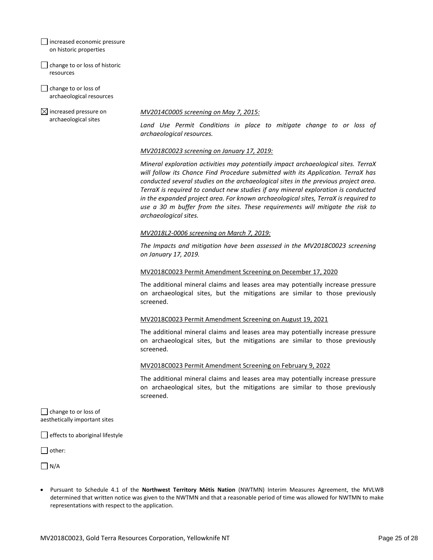increased economic pressure on historic properties

 $\Box$  change to or loss of historic resources

change to or loss of archaeological resources

 $\boxtimes$  increased pressure on archaeological sites

## *MV2014C0005 screening on May 7, 2015:*

*Land Use Permit Conditions in place to mitigate change to or loss of archaeological resources.*

## *MV2018C0023 screening on January 17, 2019:*

*Mineral exploration activities may potentially impact archaeological sites. TerraX will follow its Chance Find Procedure submitted with its Application. TerraX has conducted several studies on the archaeological sites in the previous project area. TerraX is required to conduct new studies if any mineral exploration is conducted in the expanded project area. For known archaeological sites, TerraX is required to use a 30 m buffer from the sites. These requirements will mitigate the risk to archaeological sites.* 

## *MV2018L2-0006 screening on March 7, 2019:*

*The Impacts and mitigation have been assessed in the MV2018C0023 screening on January 17, 2019.*

## MV2018C0023 Permit Amendment Screening on December 17, 2020

The additional mineral claims and leases area may potentially increase pressure on archaeological sites, but the mitigations are similar to those previously screened.

## MV2018C0023 Permit Amendment Screening on August 19, 2021

The additional mineral claims and leases area may potentially increase pressure on archaeological sites, but the mitigations are similar to those previously screened.

## MV2018C0023 Permit Amendment Screening on February 9, 2022

The additional mineral claims and leases area may potentially increase pressure on archaeological sites, but the mitigations are similar to those previously screened.

 $\Box$  change to or loss of aesthetically important sites

 $\Box$  effects to aboriginal lifestyle

□ other:

 $\Box N/A$ 

• Pursuant to Schedule 4.1 of the **Northwest Territory Métis Nation** (NWTMN) Interim Measures Agreement, the MVLWB determined that written notice was given to the NWTMN and that a reasonable period of time was allowed for NWTMN to make representations with respect to the application.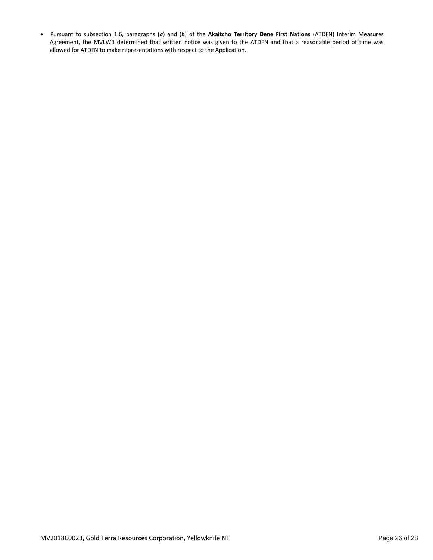• Pursuant to subsection 1.6, paragraphs (*a*) and (*b*) of the **Akaitcho Territory Dene First Nations** (ATDFN) Interim Measures Agreement, the MVLWB determined that written notice was given to the ATDFN and that a reasonable period of time was allowed for ATDFN to make representations with respect to the Application.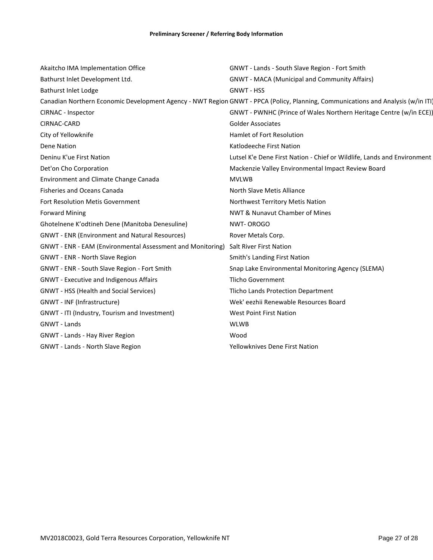| Akaitcho IMA Implementation Office                         | GNWT - Lands - South Slave Region - Fort Smith                                                                                   |
|------------------------------------------------------------|----------------------------------------------------------------------------------------------------------------------------------|
| Bathurst Inlet Development Ltd.                            | <b>GNWT - MACA (Municipal and Community Affairs)</b>                                                                             |
| Bathurst Inlet Lodge                                       | <b>GNWT - HSS</b>                                                                                                                |
|                                                            | Canadian Northern Economic Development Agency - NWT Region GNWT - PPCA (Policy, Planning, Communications and Analysis (w/in ITI) |
| CIRNAC - Inspector                                         | GNWT - PWNHC (Prince of Wales Northern Heritage Centre (w/in ECE))                                                               |
| CIRNAC-CARD                                                | <b>Golder Associates</b>                                                                                                         |
| City of Yellowknife                                        | <b>Hamlet of Fort Resolution</b>                                                                                                 |
| Dene Nation                                                | Katlodeeche First Nation                                                                                                         |
| Deninu K'ue First Nation                                   | Lutsel K'e Dene First Nation - Chief or Wildlife, Lands and Environment                                                          |
| Det'on Cho Corporation                                     | Mackenzie Valley Environmental Impact Review Board                                                                               |
| Environment and Climate Change Canada                      | <b>MVLWB</b>                                                                                                                     |
| <b>Fisheries and Oceans Canada</b>                         | North Slave Metis Alliance                                                                                                       |
| Fort Resolution Metis Government                           | Northwest Territory Metis Nation                                                                                                 |
| <b>Forward Mining</b>                                      | NWT & Nunavut Chamber of Mines                                                                                                   |
| Ghotelnene K'odtineh Dene (Manitoba Denesuline)            | NWT-OROGO                                                                                                                        |
| <b>GNWT - ENR (Environment and Natural Resources)</b>      | Rover Metals Corp.                                                                                                               |
| GNWT - ENR - EAM (Environmental Assessment and Monitoring) | <b>Salt River First Nation</b>                                                                                                   |
| GNWT - ENR - North Slave Region                            | Smith's Landing First Nation                                                                                                     |
| GNWT - ENR - South Slave Region - Fort Smith               | Snap Lake Environmental Monitoring Agency (SLEMA)                                                                                |
| <b>GNWT</b> - Executive and Indigenous Affairs             | <b>Tlicho Government</b>                                                                                                         |
| <b>GNWT - HSS (Health and Social Services)</b>             | <b>Tlicho Lands Protection Department</b>                                                                                        |
| GNWT - INF (Infrastructure)                                | Wek' eezhii Renewable Resources Board                                                                                            |
| GNWT - ITI (Industry, Tourism and Investment)              | <b>West Point First Nation</b>                                                                                                   |
| <b>GNWT - Lands</b>                                        | <b>WLWB</b>                                                                                                                      |
| GNWT - Lands - Hay River Region                            | Wood                                                                                                                             |
| GNWT - Lands - North Slave Region                          | <b>Yellowknives Dene First Nation</b>                                                                                            |
|                                                            |                                                                                                                                  |